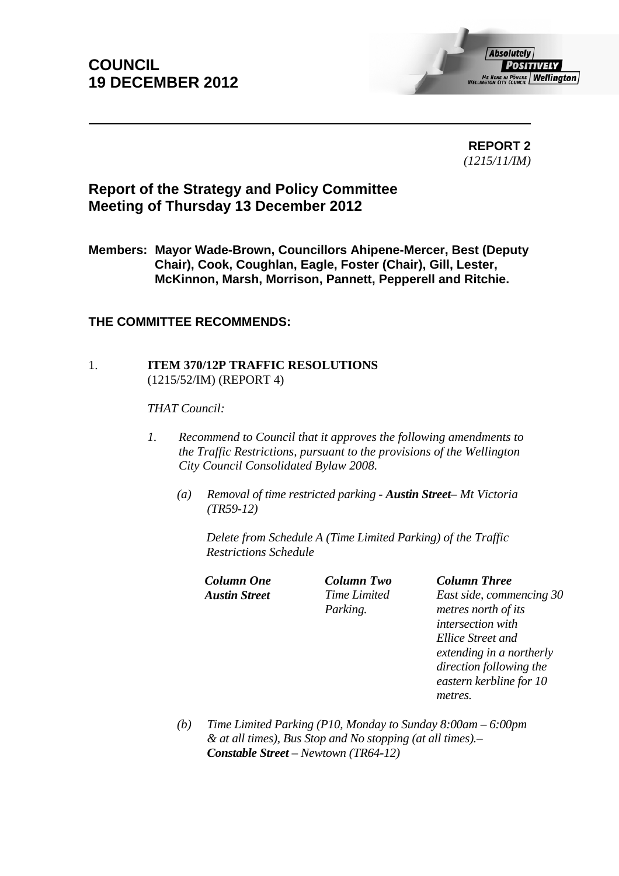## **COUNCIL 19 DECEMBER 2012**



 **REPORT 2**  *(1215/11/IM)* 

## **Report of the Strategy and Policy Committee Meeting of Thursday 13 December 2012**

**Members: Mayor Wade-Brown, Councillors Ahipene-Mercer, Best (Deputy Chair), Cook, Coughlan, Eagle, Foster (Chair), Gill, Lester, McKinnon, Marsh, Morrison, Pannett, Pepperell and Ritchie.** 

### **THE COMMITTEE RECOMMENDS:**

#### 1. **ITEM 370/12P TRAFFIC RESOLUTIONS**  (1215/52/IM) (REPORT 4)

*THAT Council:*

- *1. Recommend to Council that it approves the following amendments to the Traffic Restrictions, pursuant to the provisions of the Wellington City Council Consolidated Bylaw 2008.* 
	- *(a) Removal of time restricted parking Austin Street Mt Victoria (TR59-12)*

*Delete from Schedule A (Time Limited Parking) of the Traffic Restrictions Schedule* 

*Column One Column Two Column Three* 

*Austin Street Time Limited Parking.*

*East side, commencing 30 metres north of its intersection with Ellice Street and extending in a northerly direction following the eastern kerbline for 10 metres.* 

*(b) Time Limited Parking (P10, Monday to Sunday 8:00am – 6:00pm & at all times), Bus Stop and No stopping (at all times).– Constable Street – Newtown (TR64-12)*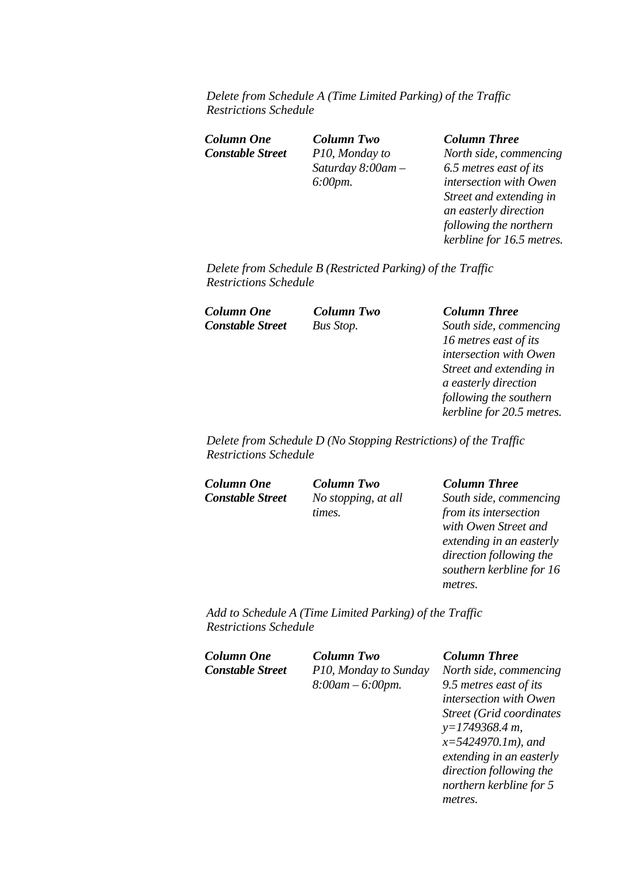*Delete from Schedule A (Time Limited Parking) of the Traffic Restrictions Schedule* 

*Constable Street P10, Monday to* 

*Column One Column Two Column Three Saturday 8:00am – 6:00pm.*

*North side, commencing 6.5 metres east of its intersection with Owen Street and extending in an easterly direction following the northern kerbline for 16.5 metres.* 

*Delete from Schedule B (Restricted Parking) of the Traffic Restrictions Schedule* 

*Column One Column Two Column Three Constable Street Bus Stop. South side, commencing* 

*16 metres east of its intersection with Owen Street and extending in a easterly direction following the southern kerbline for 20.5 metres.* 

*Delete from Schedule D (No Stopping Restrictions) of the Traffic Restrictions Schedule* 

*Column One Column Two Column Three Constable Street No stopping, at all* 

*times.* 

*South side, commencing from its intersection with Owen Street and extending in an easterly direction following the southern kerbline for 16 metres.* 

*Add to Schedule A (Time Limited Parking) of the Traffic Restrictions Schedule* 

| Column One              | <b>Column Two</b>     | <b>Column Three</b>              |
|-------------------------|-----------------------|----------------------------------|
| <b>Constable Street</b> | P10, Monday to Sunday | North side, commencing           |
|                         | $8:00am - 6:00pm.$    | 9.5 metres east of its           |
|                         |                       | <i>intersection with Owen</i>    |
|                         |                       | <b>Street (Grid coordinates)</b> |

*Street (Grid coordinates y=1749368.4 m, x=5424970.1m), and extending in an easterly direction following the northern kerbline for 5 metres.*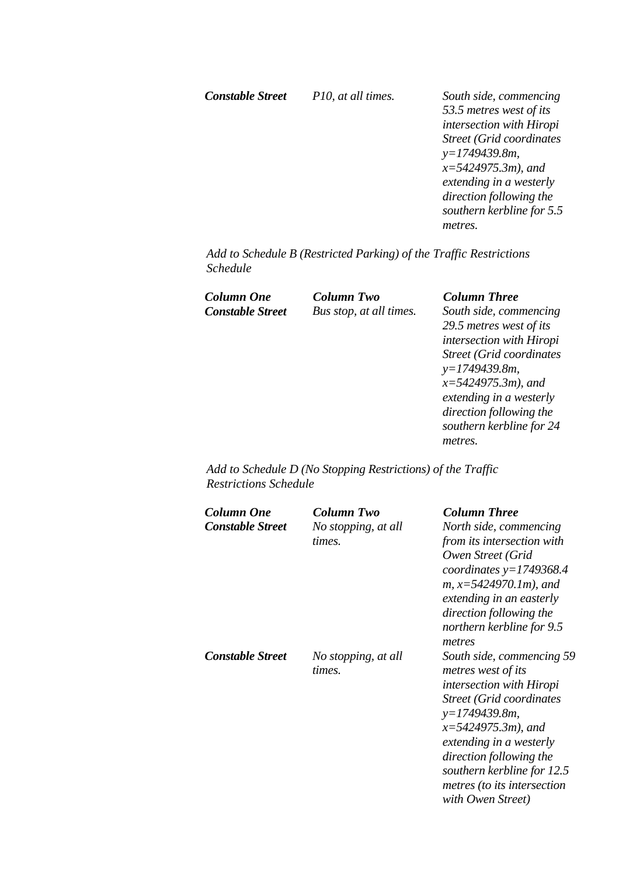*Constable Street P10, at all times. South side, commencing 53.5 metres west of its intersection with Hiropi Street (Grid coordinates y=1749439.8m, x=5424975.3m), and extending in a westerly direction following the southern kerbline for 5.5 metres.* 

*Add to Schedule B (Restricted Parking) of the Traffic Restrictions Schedule* 

*Column One Column Two Column Three* 

*Constable Street Bus stop, at all times. South side, commencing 29.5 metres west of its intersection with Hiropi Street (Grid coordinates y=1749439.8m, x=5424975.3m), and extending in a westerly direction following the southern kerbline for 24 metres.* 

*Add to Schedule D (No Stopping Restrictions) of the Traffic Restrictions Schedule* 

| Column One              | Column Two          | <b>Column Three</b>         |
|-------------------------|---------------------|-----------------------------|
| <b>Constable Street</b> | No stopping, at all | North side, commencing      |
|                         | times.              | from its intersection with  |
|                         |                     | Owen Street (Grid           |
|                         |                     | coordinates $y=1749368.4$   |
|                         |                     | $m, x=5424970.1m$ , and     |
|                         |                     | extending in an easterly    |
|                         |                     | direction following the     |
|                         |                     | northern kerbline for 9.5   |
|                         |                     | metres                      |
| <b>Constable Street</b> | No stopping, at all | South side, commencing 59   |
|                         | times.              | metres west of its          |
|                         |                     | intersection with Hiropi    |
|                         |                     | Street (Grid coordinates    |
|                         |                     | $y=1749439.8m$ ,            |
|                         |                     | $x=5424975.3m$ , and        |
|                         |                     | extending in a westerly     |
|                         |                     | direction following the     |
|                         |                     | southern kerbline for 12.5  |
|                         |                     | metres (to its intersection |
|                         |                     | with Owen Street)           |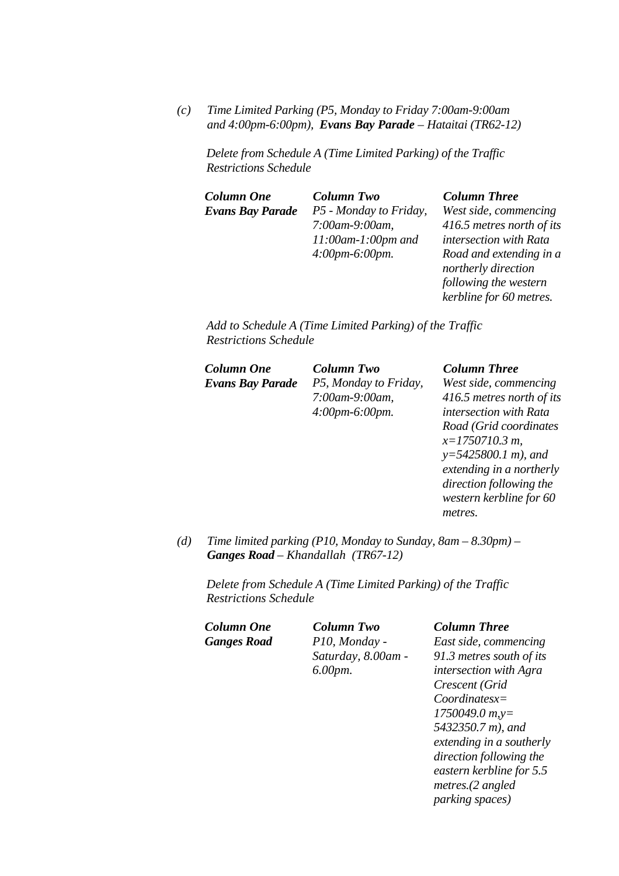*(c) Time Limited Parking (P5, Monday to Friday 7:00am-9:00am and 4:00pm-6:00pm), Evans Bay Parade – Hataitai (TR62-12)* 

*Delete from Schedule A (Time Limited Parking) of the Traffic Restrictions Schedule* 

| Column One       | Column Two                | <b>Column Three</b>       |
|------------------|---------------------------|---------------------------|
| Evans Bay Parade | P5 - Monday to Friday,    | West side, commencing     |
|                  | 7:00am-9:00am,            | 416.5 metres north of its |
|                  | $11:00$ am- $1:00$ pm and | intersection with Rata    |
|                  | $4:00pm-6:00pm.$          | Road and extending in a   |
|                  |                           | northerly direction       |
|                  |                           | following the western     |
|                  |                           | kerbline for 60 metres.   |

*Add to Schedule A (Time Limited Parking) of the Traffic Restrictions Schedule* 

| Column One       | <b>Column Two</b>     | <b>Column Three</b>       |
|------------------|-----------------------|---------------------------|
| Evans Bay Parade | P5, Monday to Friday, | West side, commencing     |
|                  | 7:00am-9:00am,        | 416.5 metres north of its |
|                  | $4:00pm-6:00pm.$      | intersection with Rata    |
|                  |                       | Road (Grid coordinates    |
|                  |                       | $x=1750710.3 m$ ,         |
|                  |                       | $y=5425800.1 m$ , and     |
|                  |                       | extending in a northerly  |
|                  |                       | direction following the   |
|                  |                       | western kerbline for 60   |

*(d) Time limited parking (P10, Monday to Sunday, 8am – 8.30pm) – Ganges Road – Khandallah (TR67-12)* 

*Delete from Schedule A (Time Limited Parking) of the Traffic Restrictions Schedule* 

*Column One Column Two Column Three Ganges Road P10, Monday - Saturday, 8.00am - 6.00pm.*

*metres.* 

*East side, commencing 91.3 metres south of its intersection with Agra Crescent (Grid Coordinatesx= 1750049.0 m,y= 5432350.7 m), and extending in a southerly direction following the eastern kerbline for 5.5 metres.(2 angled parking spaces)*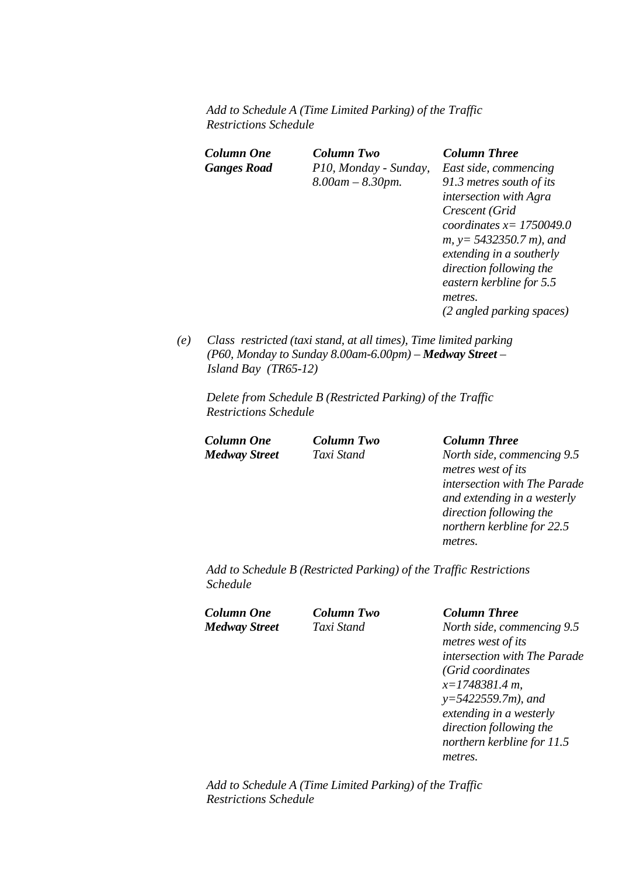*Add to Schedule A (Time Limited Parking) of the Traffic Restrictions Schedule* 

| Column One<br><b>Ganges Road</b> | Column Two<br>P10, Monday - Sunday,<br>$8.00$ am $- 8.30$ pm. | <b>Column Three</b><br>East side, commencing<br>91.3 metres south of its<br><i>intersection with Agra</i><br>Crescent (Grid<br>coordinates $x=1750049.0$<br>$m, y = 5432350.7 m$ , and<br>extending in a southerly<br>direction following the<br>eastern kerbline for 5.5<br>metres.<br>(2 angled parking spaces) |
|----------------------------------|---------------------------------------------------------------|-------------------------------------------------------------------------------------------------------------------------------------------------------------------------------------------------------------------------------------------------------------------------------------------------------------------|
|                                  |                                                               |                                                                                                                                                                                                                                                                                                                   |

*(e) Class restricted (taxi stand, at all times), Time limited parking (P60, Monday to Sunday 8.00am-6.00pm) – Medway Street – Island Bay (TR65-12)* 

*Delete from Schedule B (Restricted Parking) of the Traffic Restrictions Schedule* 

### *Column One Column Two Column Three Medway Street Taxi Stand North side, commencing 9.5 metres west of its intersection with The Parade and extending in a westerly direction following the northern kerbline for 22.5 metres.*

*Add to Schedule B (Restricted Parking) of the Traffic Restrictions Schedule* 

*Column One Column Two Column Three* 

*Medway Street Taxi Stand North side, commencing 9.5 metres west of its intersection with The Parade (Grid coordinates x=1748381.4 m, y=5422559.7m), and extending in a westerly direction following the northern kerbline for 11.5 metres.* 

*Add to Schedule A (Time Limited Parking) of the Traffic Restrictions Schedule*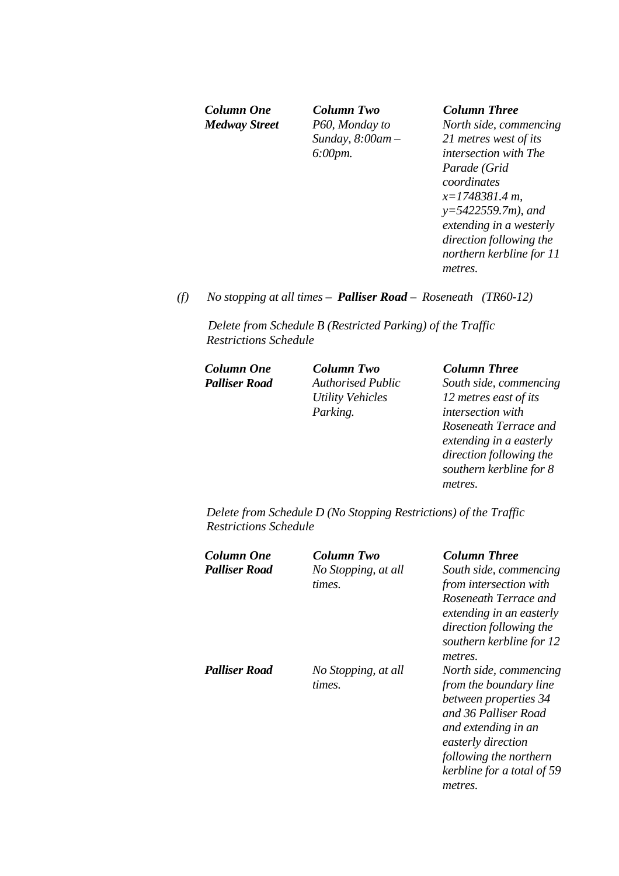*Column One Column Two Column Three Medway Street P60, Monday to Sunday, 8:00am – 6:00pm.* 

*North side, commencing 21 metres west of its intersection with The Parade (Grid coordinates x=1748381.4 m, y=5422559.7m), and extending in a westerly direction following the northern kerbline for 11 metres.* 

*(f) No stopping at all times – Palliser Road – Roseneath (TR60-12)* 

*Delete from Schedule B (Restricted Parking) of the Traffic Restrictions Schedule* 

*Column One Column Two Column Three* 

*Palliser Road Authorised Public Utility Vehicles Parking.* 

*South side, commencing 12 metres east of its intersection with Roseneath Terrace and extending in a easterly direction following the southern kerbline for 8 metres.* 

*Delete from Schedule D (No Stopping Restrictions) of the Traffic Restrictions Schedule* 

| Column One<br><b>Palliser Road</b> | Column Two<br>No Stopping, at all<br>times. | <b>Column Three</b><br>South side, commencing<br>from intersection with<br>Roseneath Terrace and<br>extending in an easterly<br>direction following the<br>southern kerbline for 12<br>metres.                    |
|------------------------------------|---------------------------------------------|-------------------------------------------------------------------------------------------------------------------------------------------------------------------------------------------------------------------|
| <b>Palliser Road</b>               | No Stopping, at all<br>times.               | North side, commencing<br>from the boundary line<br>between properties 34<br>and 36 Palliser Road<br>and extending in an<br>easterly direction<br>following the northern<br>kerbline for a total of 59<br>metres. |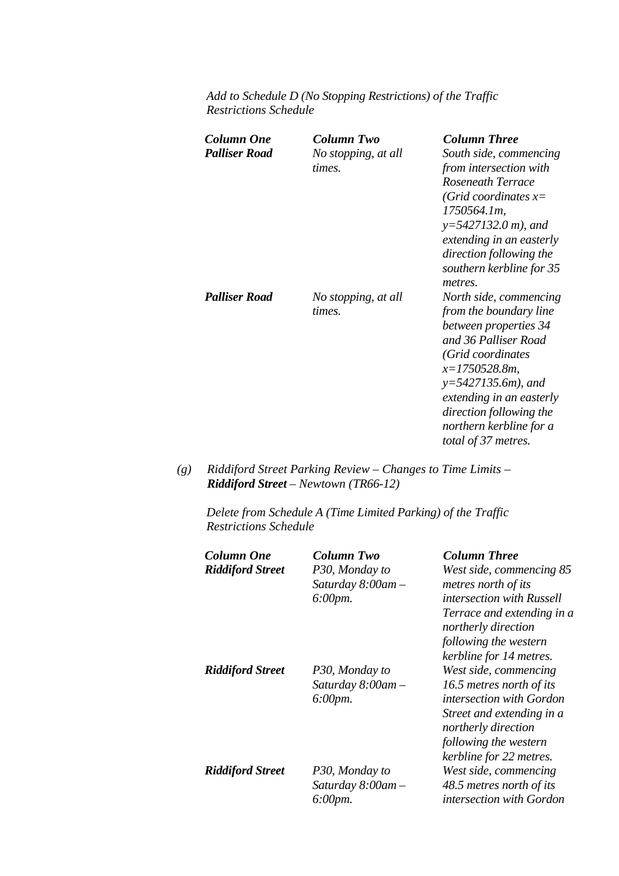*Add to Schedule D (No Stopping Restrictions) of the Traffic Restrictions Schedule* 

| Column One<br>Palliser Road | Column Two<br>No stopping, at all<br>times. | <b>Column Three</b><br>South side, commencing<br>from intersection with<br>Roseneath Terrace<br>(Grid coordinates $x=$<br>1750564.1m,<br>$y=5427132.0 m$ , and<br>extending in an easterly<br>direction following the<br>southern kerbline for 35<br>metres.                |
|-----------------------------|---------------------------------------------|-----------------------------------------------------------------------------------------------------------------------------------------------------------------------------------------------------------------------------------------------------------------------------|
| <b>Palliser Road</b>        | No stopping, at all<br>times.               | North side, commencing<br>from the boundary line<br>between properties 34<br>and 36 Palliser Road<br>(Grid coordinates<br>$x=1750528.8m$ ,<br>$y=5427135.6m$ , and<br>extending in an easterly<br>direction following the<br>northern kerbline for a<br>total of 37 metres. |

*(g) Riddiford Street Parking Review – Changes to Time Limits – Riddiford Street – Newtown (TR66-12)* 

*Delete from Schedule A (Time Limited Parking) of the Traffic Restrictions Schedule* 

| Column One<br><b>Riddiford Street</b> | Column Two<br>P30, Monday to<br>Saturday $8:00$ am $-$<br>$6:00 \, \text{pm}.$ | <b>Column Three</b><br>West side, commencing 85<br>metres north of its<br>intersection with Russell<br>Terrace and extending in a<br>northerly direction<br>following the western<br>kerbline for 14 metres. |
|---------------------------------------|--------------------------------------------------------------------------------|--------------------------------------------------------------------------------------------------------------------------------------------------------------------------------------------------------------|
| <b>Riddiford Street</b>               | P30, Monday to<br>Saturday $8:00$ am $-$<br>$6:00$ pm.                         | West side, commencing<br>16.5 metres north of its<br>intersection with Gordon<br>Street and extending in a<br>northerly direction<br>following the western<br>kerbline for 22 metres.                        |
| <b>Riddiford Street</b>               | P30, Monday to<br>Saturday $8:00$ am $-$<br>6:00pm.                            | West side, commencing<br>48.5 metres north of its<br>intersection with Gordon                                                                                                                                |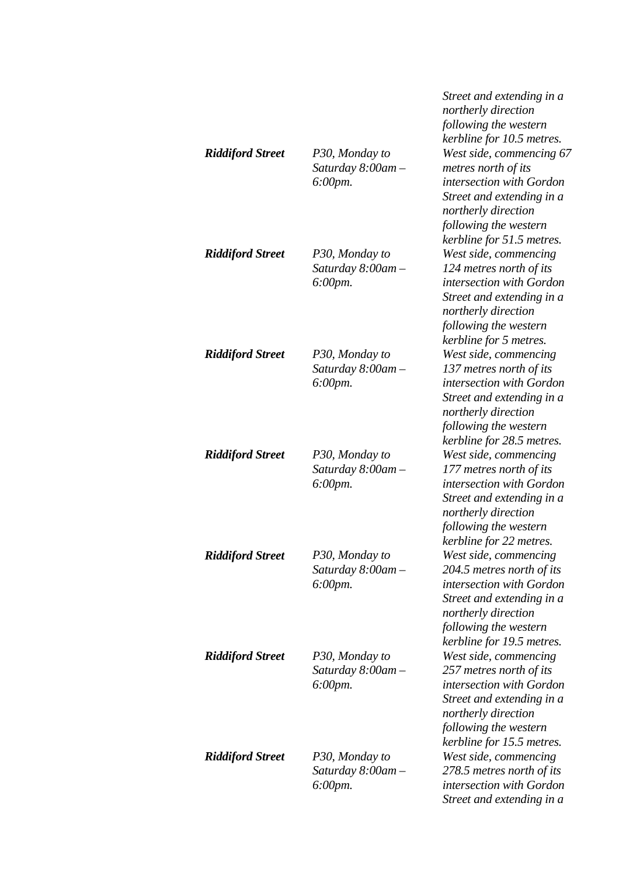|                         |                                                     | Street and extending in a<br>northerly direction<br>following the western<br>kerbline for 10.5 metres.                                                                                   |
|-------------------------|-----------------------------------------------------|------------------------------------------------------------------------------------------------------------------------------------------------------------------------------------------|
| <b>Riddiford Street</b> | P30, Monday to<br>Saturday 8:00am -<br>$6:00$ pm.   | West side, commencing 67<br>metres north of its<br>intersection with Gordon<br>Street and extending in a<br>northerly direction<br>following the western<br>kerbline for 51.5 metres.    |
| <b>Riddiford Street</b> | P30, Monday to<br>Saturday 8:00am -<br>$6:00$ pm.   | West side, commencing<br>124 metres north of its<br>intersection with Gordon<br>Street and extending in a<br>northerly direction<br>following the western<br>kerbline for 5 metres.      |
| <b>Riddiford Street</b> | P30, Monday to<br>Saturday $8:00$ am $-$<br>6:00pm. | West side, commencing<br>137 metres north of its<br>intersection with Gordon<br>Street and extending in a<br>northerly direction<br>following the western<br>kerbline for 28.5 metres.   |
| <b>Riddiford Street</b> | P30, Monday to<br>Saturday $8:00$ am $-$<br>6:00pm. | West side, commencing<br>177 metres north of its<br>intersection with Gordon<br>Street and extending in a<br>northerly direction<br>following the western<br>kerbline for 22 metres.     |
| <b>Riddiford Street</b> | P30, Monday to<br>Saturday $8:00$ am $-$<br>6:00pm. | West side, commencing<br>204.5 metres north of its<br>intersection with Gordon<br>Street and extending in a<br>northerly direction<br>following the western<br>kerbline for 19.5 metres. |
| <b>Riddiford Street</b> | P30, Monday to<br>Saturday $8:00$ am $-$<br>6:00pm. | West side, commencing<br>257 metres north of its<br>intersection with Gordon<br>Street and extending in a<br>northerly direction<br>following the western<br>kerbline for 15.5 metres.   |
| <b>Riddiford Street</b> | P30, Monday to<br>Saturday 8:00am -<br>6:00pm.      | West side, commencing<br>278.5 metres north of its<br>intersection with Gordon<br>Street and extending in a                                                                              |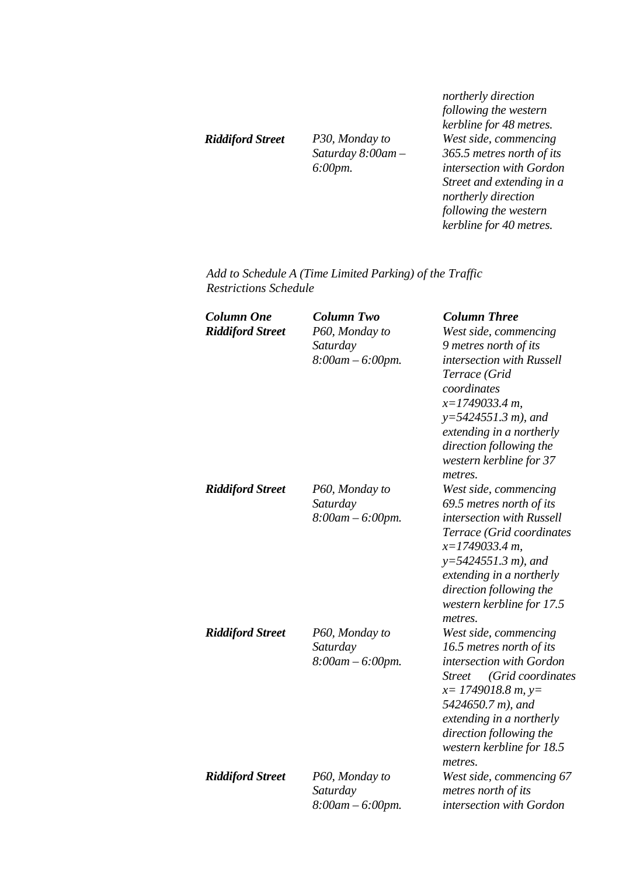*Riddiford Street P30, Monday to Saturday 8:00am – 6:00pm.*

*northerly direction following the western kerbline for 48 metres. West side, commencing 365.5 metres north of its intersection with Gordon Street and extending in a northerly direction following the western kerbline for 40 metres.* 

*Add to Schedule A (Time Limited Parking) of the Traffic Restrictions Schedule* 

| <b>Column One</b>       | <b>Column Two</b>     | <b>Column Three</b>                |
|-------------------------|-----------------------|------------------------------------|
| <b>Riddiford Street</b> | P60, Monday to        | West side, commencing              |
|                         | Saturday              | 9 metres north of its              |
|                         | 8:00am - 6:00pm.      | intersection with Russell          |
|                         |                       | Terrace (Grid                      |
|                         |                       | coordinates                        |
|                         |                       | $x=1749033.4 m$ ,                  |
|                         |                       | $y=5424551.3 m$ , and              |
|                         |                       | extending in a northerly           |
|                         |                       | direction following the            |
|                         |                       | western kerbline for 37            |
|                         |                       | metres.                            |
| <b>Riddiford Street</b> | P60, Monday to        | West side, commencing              |
|                         | Saturday              | 69.5 metres north of its           |
|                         | $8:00am - 6:00pm.$    | intersection with Russell          |
|                         |                       | Terrace (Grid coordinates          |
|                         |                       | $x=1749033.4 m$ ,                  |
|                         |                       | $y=5424551.3 m$ , and              |
|                         |                       | extending in a northerly           |
|                         |                       | direction following the            |
|                         |                       | western kerbline for 17.5          |
|                         |                       | metres.                            |
| <b>Riddiford Street</b> | P60, Monday to        | West side, commencing              |
|                         | Saturday              | 16.5 metres north of its           |
|                         | $8:00am - 6:00pm.$    | intersection with Gordon           |
|                         |                       | (Grid coordinates<br><b>Street</b> |
|                         |                       | $x=$ 1749018.8 m, y=               |
|                         |                       | 5424650.7 m), and                  |
|                         |                       | extending in a northerly           |
|                         |                       | direction following the            |
|                         |                       | western kerbline for 18.5          |
|                         |                       | metres.                            |
| <b>Riddiford Street</b> | P60, Monday to        | West side, commencing 67           |
|                         | Saturday              | metres north of its                |
|                         | $8:00$ am $-6:00$ pm. | intersection with Gordon           |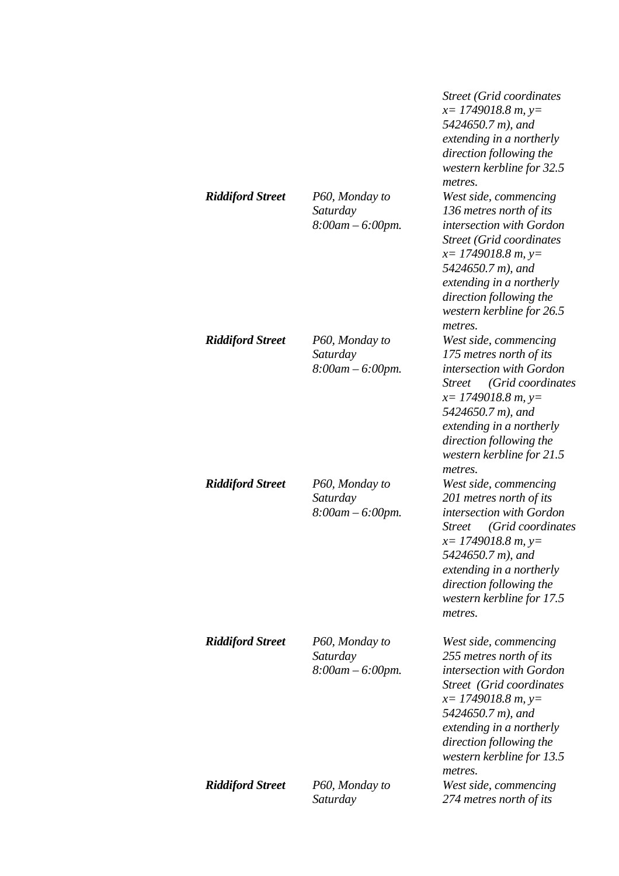|                         |                                                     | Street (Grid coordinates<br>$x=$ 1749018.8 m, y=<br>5424650.7 m), and<br>extending in a northerly<br>direction following the<br>western kerbline for 32.5<br>metres.                                                                                           |
|-------------------------|-----------------------------------------------------|----------------------------------------------------------------------------------------------------------------------------------------------------------------------------------------------------------------------------------------------------------------|
| <b>Riddiford Street</b> | P60, Monday to<br>Saturday<br>$8:00$ am $-6:00$ pm. | West side, commencing<br>136 metres north of its<br>intersection with Gordon<br><b>Street (Grid coordinates)</b><br>$x=1749018.8 m, y=$<br>5424650.7 m), and<br>extending in a northerly<br>direction following the<br>western kerbline for 26.5<br>metres.    |
| <b>Riddiford Street</b> | P60, Monday to<br>Saturday<br>$8:00$ am $-6:00$ pm. | West side, commencing<br>175 metres north of its<br>intersection with Gordon<br>(Grid coordinates<br><b>Street</b><br>$x=$ 1749018.8 m, y=<br>5424650.7 m), and<br>extending in a northerly<br>direction following the<br>western kerbline for 21.5<br>metres. |
| <b>Riddiford Street</b> | P60, Monday to<br>Saturday<br>$8:00am - 6:00pm.$    | West side, commencing<br>201 metres north of its<br>intersection with Gordon<br>(Grid coordinates<br><i>Street</i><br>$x=$ 1749018.8 m, y=<br>5424650.7 m), and<br>extending in a northerly<br>direction following the<br>western kerbline for 17.5<br>metres. |
| <b>Riddiford Street</b> | P60, Monday to<br>Saturday<br>$8:00am - 6:00pm.$    | West side, commencing<br>255 metres north of its<br>intersection with Gordon<br>Street (Grid coordinates<br>$x=$ 1749018.8 m, y=<br>5424650.7 m), and<br>extending in a northerly<br>direction following the<br>western kerbline for 13.5<br>metres.           |
| <b>Riddiford Street</b> | P60, Monday to<br>Saturday                          | West side, commencing<br>274 metres north of its                                                                                                                                                                                                               |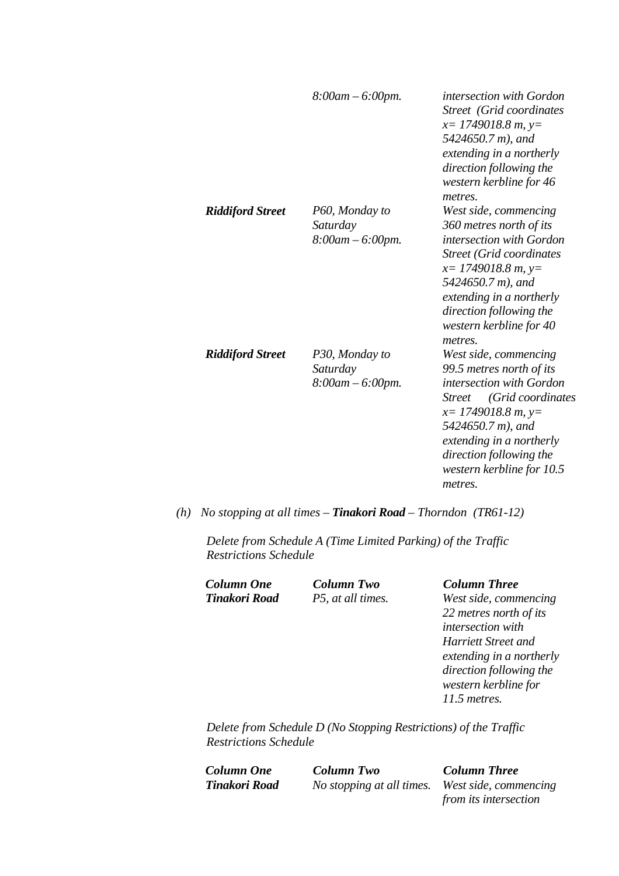|                         | $8:00$ am $-6:00$ pm.                            | intersection with Gordon<br><b>Street</b> (Grid coordinates<br>$x=$ 1749018.8 m, y=<br>5424650.7 m), and<br>extending in a northerly<br>direction following the<br>western kerbline for 46<br>metres.                                                           |
|-------------------------|--------------------------------------------------|-----------------------------------------------------------------------------------------------------------------------------------------------------------------------------------------------------------------------------------------------------------------|
| <b>Riddiford Street</b> | P60, Monday to<br>Saturday<br>$8:00am - 6:00pm.$ | West side, commencing<br>360 metres north of its<br>intersection with Gordon<br><b>Street (Grid coordinates</b><br>$x=$ 1749018.8 m, y=<br>5424650.7 m), and<br>extending in a northerly<br>direction following the<br>western kerbline for 40<br>metres.       |
| <b>Riddiford Street</b> | P30, Monday to<br>Saturday<br>$8:00am - 6:00pm.$ | West side, commencing<br>99.5 metres north of its<br>intersection with Gordon<br>(Grid coordinates<br><i>Street</i><br>$x=$ 1749018.8 m, y=<br>5424650.7 m), and<br>extending in a northerly<br>direction following the<br>western kerbline for 10.5<br>metres. |

*(h) No stopping at all times – Tinakori Road – Thorndon (TR61-12)* 

*Delete from Schedule A (Time Limited Parking) of the Traffic Restrictions Schedule* 

*Column One Column Two Column Three* 

*West side, commencing 22 metres north of its intersection with Harriett Street and extending in a northerly direction following the western kerbline for 11.5 metres.* 

*Delete from Schedule D (No Stopping Restrictions) of the Traffic Restrictions Schedule* 

*Column One Column Two Column Three* 

*Tinakori Road No stopping at all times. West side, commencing from its intersection*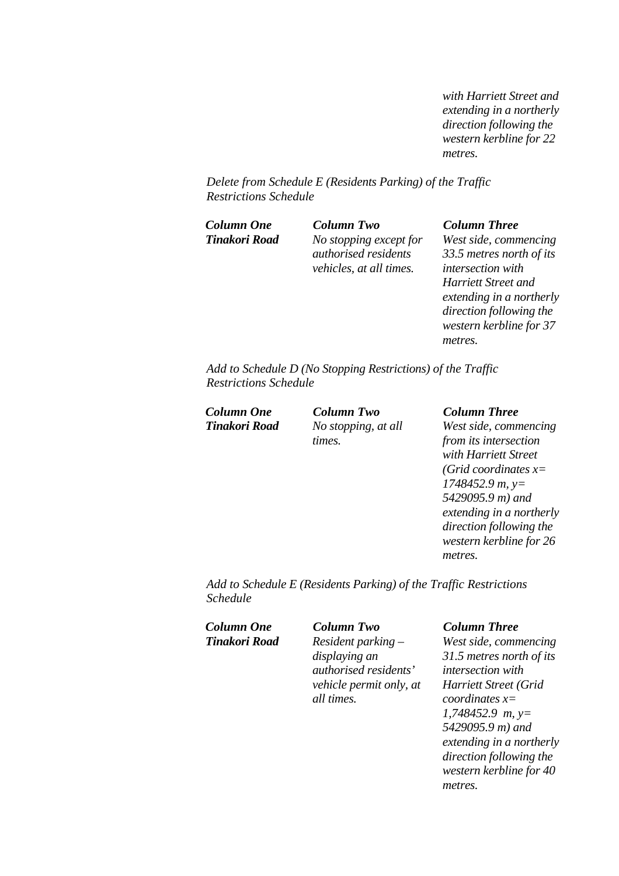*with Harriett Street and extending in a northerly direction following the western kerbline for 22 metres.* 

*Delete from Schedule E (Residents Parking) of the Traffic Restrictions Schedule* 

*Column One Column Two Column Three Tinakori Road No stopping except for authorised residents vehicles, at all times.*

*West side, commencing 33.5 metres north of its intersection with Harriett Street and extending in a northerly direction following the western kerbline for 37 metres.* 

*Add to Schedule D (No Stopping Restrictions) of the Traffic Restrictions Schedule* 

*Column One Column Two Column Three* 

*Tinakori Road No stopping, at all times.*

*West side, commencing from its intersection with Harriett Street (Grid coordinates x= 1748452.9 m, y= 5429095.9 m) and extending in a northerly direction following the western kerbline for 26 metres.* 

*Add to Schedule E (Residents Parking) of the Traffic Restrictions Schedule* 

*Column One Column Two Column Three* 

*Tinakori Road Resident parking – displaying an authorised residents' vehicle permit only, at all times.*

*West side, commencing 31.5 metres north of its intersection with Harriett Street (Grid coordinates x= 1,748452.9 m, y= 5429095.9 m) and extending in a northerly direction following the western kerbline for 40 metres.*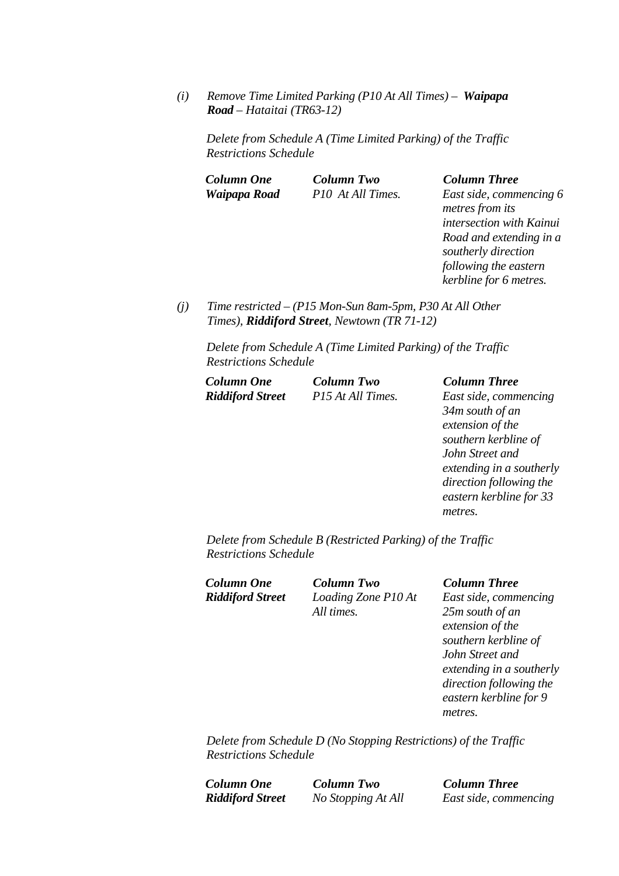*(i) Remove Time Limited Parking (P10 At All Times) – Waipapa Road – Hataitai (TR63-12)* 

*Delete from Schedule A (Time Limited Parking) of the Traffic Restrictions Schedule* 

| <b>Column One</b> | <b>Column Two</b> | <b>Column Three</b> |
|-------------------|-------------------|---------------------|
| Waipapa Road      | P10 At All Times. | East side, comm     |

*Fast side, commencing 6 metres from its intersection with Kainui Road and extending in a southerly direction following the eastern kerbline for 6 metres.* 

*(j) Time restricted – (P15 Mon-Sun 8am-5pm, P30 At All Other Times), Riddiford Street, Newtown (TR 71-12)* 

*Delete from Schedule A (Time Limited Parking) of the Traffic Restrictions Schedule* 

| Column One              | <b>Column Two</b> | <b>Column Three</b>     |
|-------------------------|-------------------|-------------------------|
| <b>Riddiford Street</b> | P15 At All Times. | East side, commencing   |
|                         |                   | $2\Delta m$ south of an |

*34m south of an extension of the southern kerbline of John Street and extending in a southerly direction following the eastern kerbline for 33 metres.* 

*Delete from Schedule B (Restricted Parking) of the Traffic Restrictions Schedule* 

*Column One Column Two Column Three Riddiford Street Loading Zone P10 At All times.*

*East side, commencing 25m south of an extension of the southern kerbline of John Street and extending in a southerly direction following the eastern kerbline for 9 metres.* 

*Delete from Schedule D (No Stopping Restrictions) of the Traffic Restrictions Schedule* 

*Column One Column Two Column Three Riddiford Street No Stopping At All East side, commencing*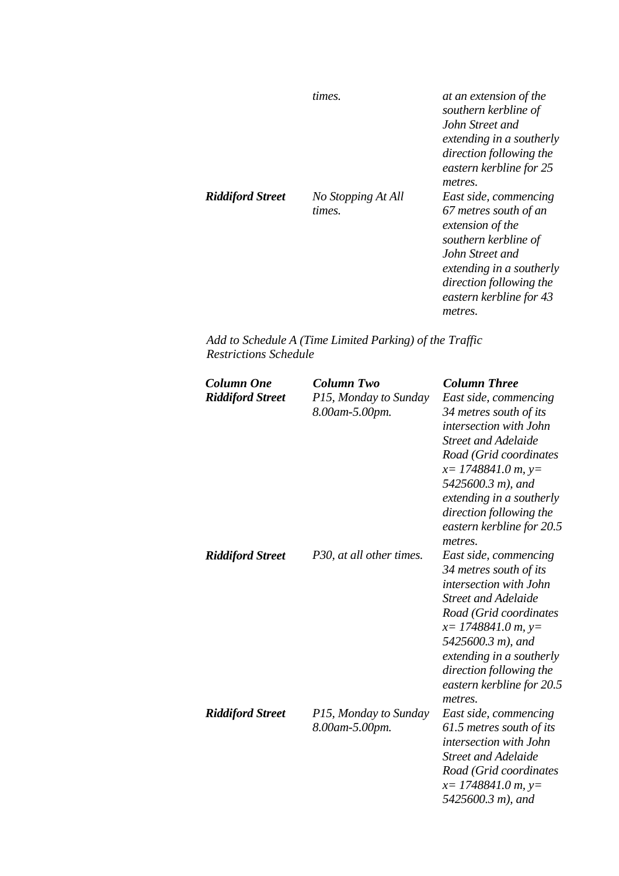|                         | times.                       | at an extension of the<br>southern kerbline of<br>John Street and<br>extending in a southerly<br>direction following the<br>eastern kerbline for 25<br>metres.                                             |
|-------------------------|------------------------------|------------------------------------------------------------------------------------------------------------------------------------------------------------------------------------------------------------|
| <b>Riddiford Street</b> | No Stopping At All<br>times. | East side, commencing<br>67 metres south of an<br>extension of the<br>southern kerbline of<br>John Street and<br>extending in a southerly<br>direction following the<br>eastern kerbline for 43<br>metres. |

*Add to Schedule A (Time Limited Parking) of the Traffic Restrictions Schedule* 

| <b>Column One</b><br><b>Riddiford Street</b> | <b>Column Two</b><br>P15, Monday to Sunday<br>8.00am-5.00pm. | <b>Column Three</b><br>East side, commencing<br>34 metres south of its<br>intersection with John<br><b>Street and Adelaide</b><br>Road (Grid coordinates<br>$x=$ 1748841.0 m, y=<br>5425600.3 m), and<br>extending in a southerly<br>direction following the<br>eastern kerbline for 20.5<br>metres. |
|----------------------------------------------|--------------------------------------------------------------|------------------------------------------------------------------------------------------------------------------------------------------------------------------------------------------------------------------------------------------------------------------------------------------------------|
| <b>Riddiford Street</b>                      | P30, at all other times.                                     | East side, commencing<br>34 metres south of its<br>intersection with John<br><b>Street and Adelaide</b><br>Road (Grid coordinates<br>$x=$ 1748841.0 m, y=<br>5425600.3 m), and<br>extending in a southerly<br>direction following the<br>eastern kerbline for 20.5<br>metres.                        |
| <b>Riddiford Street</b>                      | P15, Monday to Sunday<br>8.00am-5.00pm.                      | East side, commencing<br>61.5 metres south of its<br>intersection with John<br><b>Street and Adelaide</b><br>Road (Grid coordinates<br>$x=$ 1748841.0 m, y=<br>5425600.3 m), and                                                                                                                     |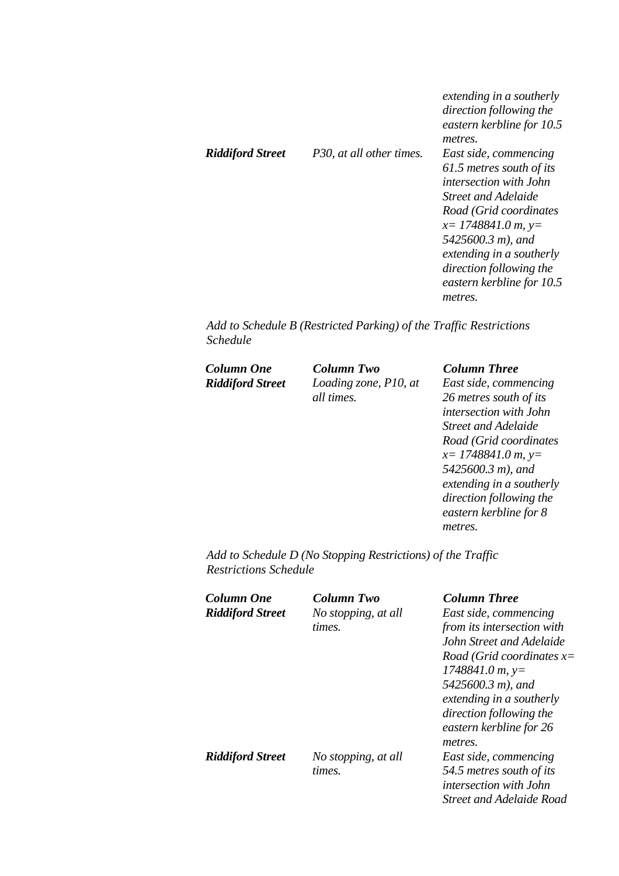|                         |                          | extending in a southerly<br>direction following the<br>eastern kerbline for 10.5<br>metres. |
|-------------------------|--------------------------|---------------------------------------------------------------------------------------------|
| <b>Riddiford Street</b> | P30, at all other times. | East side, commencing<br>61.5 metres south of its                                           |
|                         |                          | <i>intersection with John</i>                                                               |
|                         |                          | Street and Adelaide                                                                         |
|                         |                          | Road (Grid coordinates                                                                      |
|                         |                          | $x=$ 1748841.0 m, y=                                                                        |
|                         |                          | 5425600.3 m), and                                                                           |
|                         |                          | extending in a southerly                                                                    |
|                         |                          | direction following the                                                                     |
|                         |                          | eastern kerbline for 10.5                                                                   |
|                         |                          | metres.                                                                                     |

*Add to Schedule B (Restricted Parking) of the Traffic Restrictions Schedule* 

*Column One Column Two Column Three Riddiford Street Loading zone, P10, at all times.*

*East side, commencing 26 metres south of its intersection with John Street and Adelaide Road (Grid coordinates x= 1748841.0 m, y= 5425600.3 m), and extending in a southerly direction following the eastern kerbline for 8 metres.* 

*Add to Schedule D (No Stopping Restrictions) of the Traffic Restrictions Schedule* 

| Column One              | Column Two          | <b>Column Three</b>             |
|-------------------------|---------------------|---------------------------------|
| <b>Riddiford Street</b> | No stopping, at all | East side, commencing           |
|                         | times.              | from its intersection with      |
|                         |                     | John Street and Adelaide        |
|                         |                     | Road (Grid coordinates $x=$     |
|                         |                     | $1748841.0 m$ , y=              |
|                         |                     | 5425600.3 m), and               |
|                         |                     | extending in a southerly        |
|                         |                     | direction following the         |
|                         |                     | eastern kerbline for 26         |
|                         |                     | metres.                         |
| <b>Riddiford Street</b> | No stopping, at all | East side, commencing           |
|                         | times.              | 54.5 metres south of its        |
|                         |                     | <i>intersection with John</i>   |
|                         |                     | <b>Street and Adelaide Road</b> |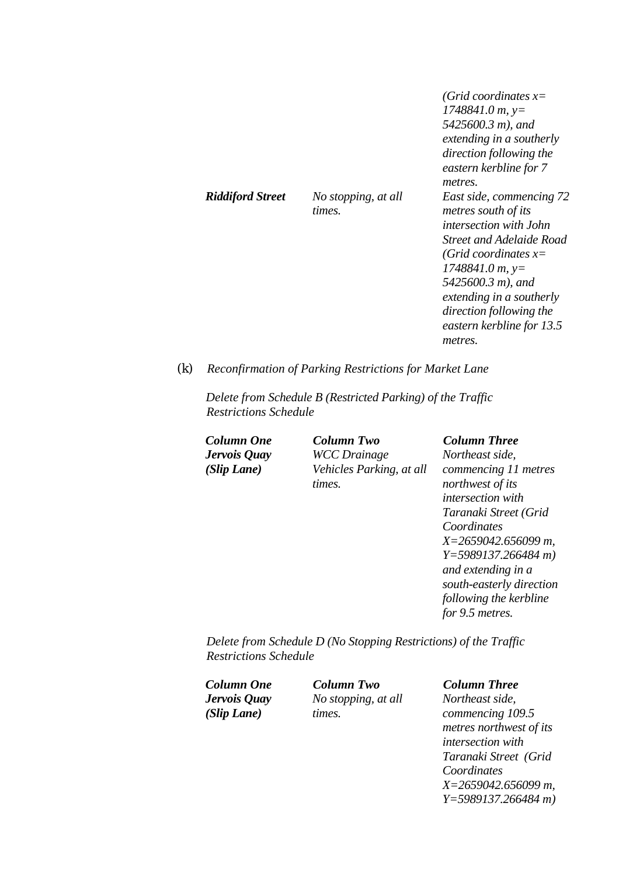|                         |                               | (Grid coordinates $x=$<br>$1748841.0 m$ , y=<br>5425600.3 m), and<br>extending in a southerly<br>direction following the<br>eastern kerbline for 7<br><i>metres.</i>                                                                                                                    |
|-------------------------|-------------------------------|-----------------------------------------------------------------------------------------------------------------------------------------------------------------------------------------------------------------------------------------------------------------------------------------|
| <b>Riddiford Street</b> | No stopping, at all<br>times. | East side, commencing 72<br>metres south of its<br><i>intersection with John</i><br><b>Street and Adelaide Road</b><br>(Grid coordinates $x=$<br>$1748841.0 m$ , y=<br>5425600.3 m), and<br>extending in a southerly<br>direction following the<br>eastern kerbline for 13.5<br>metres. |

*(k) Reconfirmation of Parking Restrictions for Market Lane* 

*Delete from Schedule B (Restricted Parking) of the Traffic Restrictions Schedule* 

*Jervois Quay (Slip Lane)* 

*Column One Column Two Column Three WCC Drainage Vehicles Parking, at all times.* 

# *Northeast side,*

*commencing 11 metres northwest of its intersection with Taranaki Street (Grid Coordinates X=2659042.656099 m, Y=5989137.266484 m) and extending in a south-easterly direction following the kerbline for 9.5 metres.* 

*Delete from Schedule D (No Stopping Restrictions) of the Traffic Restrictions Schedule* 

*Jervois Quay (Slip Lane)* 

*No stopping, at all times.* 

#### *Column One Column Two Column Three*

*Northeast side, commencing 109.5 metres northwest of its intersection with Taranaki Street (Grid Coordinates X=2659042.656099 m, Y=5989137.266484 m)*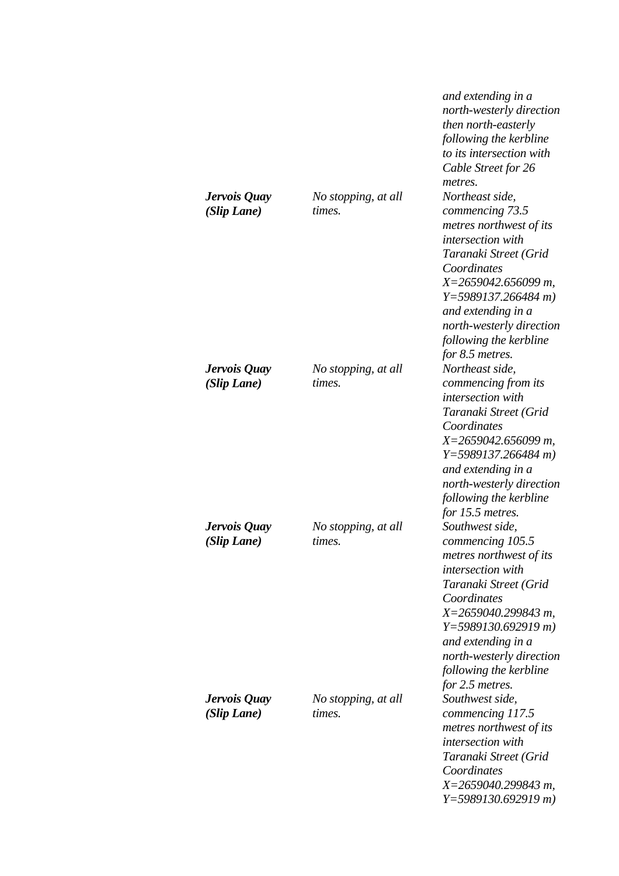|                             |                               | and extending in a<br>north-westerly direction<br>then north-easterly<br>following the kerbline<br>to its intersection with<br>Cable Street for 26<br>metres.                                                                                                                      |
|-----------------------------|-------------------------------|------------------------------------------------------------------------------------------------------------------------------------------------------------------------------------------------------------------------------------------------------------------------------------|
| Jervois Quay<br>(Slip Lane) | No stopping, at all<br>times. | Northeast side,<br>commencing 73.5<br>metres northwest of its<br>intersection with<br>Taranaki Street (Grid<br>Coordinates<br>$X=2659042.656099$ m,<br>$Y=5989137.266484 m$<br>and extending in a<br>north-westerly direction<br>following the kerbline<br>for 8.5 metres.         |
| Jervois Quay<br>(Slip Lane) | No stopping, at all<br>times. | Northeast side,<br>commencing from its<br>intersection with<br>Taranaki Street (Grid<br>Coordinates<br>$X=2659042.656099$ m,<br>$Y=5989137.266484 m$<br>and extending in a<br>north-westerly direction<br>following the kerbline<br>for 15.5 metres.                               |
| Jervois Quay<br>(Slip Lane) | No stopping, at all<br>times. | Southwest side,<br>commencing 105.5<br>metres northwest of its<br><i>intersection with</i><br>Taranaki Street (Grid<br>Coordinates<br>$X=2659040.299843$ m,<br>$Y=5989130.692919 m$<br>and extending in a<br>north-westerly direction<br>following the kerbline<br>for 2.5 metres. |
| Jervois Quay<br>(Slip Lane) | No stopping, at all<br>times. | Southwest side,<br>commencing 117.5<br>metres northwest of its<br>intersection with<br>Taranaki Street (Grid<br>Coordinates<br>$X=2659040.299843 m$ ,<br>$Y=5989130.692919 m$                                                                                                      |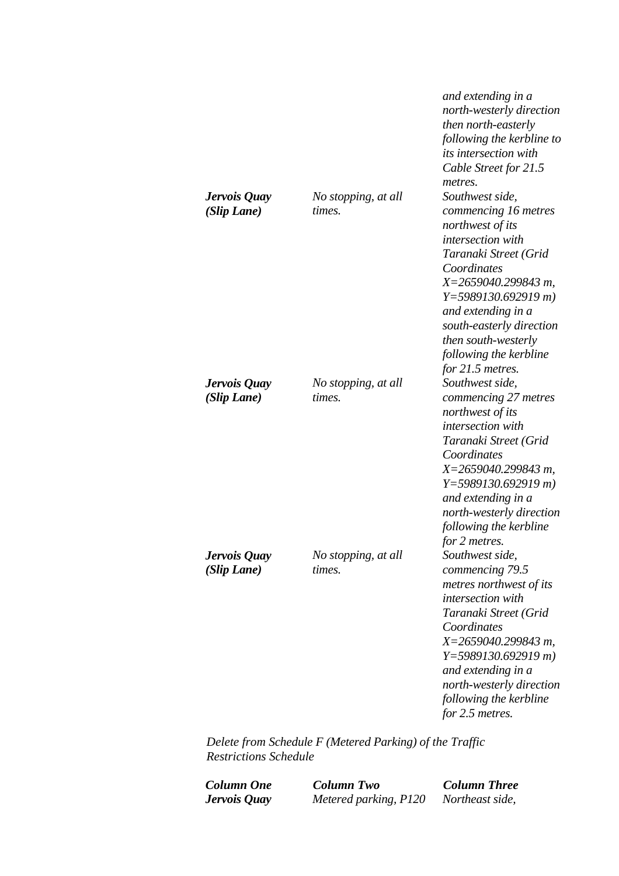|                             |                               | and extending in a<br>north-westerly direction<br>then north-easterly<br>following the kerbline to<br><i>its intersection with</i><br>Cable Street for 21.5<br>metres.                                                                                                                         |
|-----------------------------|-------------------------------|------------------------------------------------------------------------------------------------------------------------------------------------------------------------------------------------------------------------------------------------------------------------------------------------|
| Jervois Quay<br>(Slip Lane) | No stopping, at all<br>times. | Southwest side,<br>commencing 16 metres<br>northwest of its<br>intersection with<br>Taranaki Street (Grid<br>Coordinates<br>X=2659040.299843 m,<br>$Y=5989130.692919 m$<br>and extending in a<br>south-easterly direction<br>then south-westerly<br>following the kerbline<br>for 21.5 metres. |
| Jervois Quay<br>(Slip Lane) | No stopping, at all<br>times. | Southwest side,<br>commencing 27 metres<br>northwest of its<br>intersection with<br>Taranaki Street (Grid<br>Coordinates<br>$X=2659040.299843 m$ ,<br>$Y=5989130.692919 m$<br>and extending in a<br>north-westerly direction<br>following the kerbline<br>for 2 metres.                        |
| Jervois Quay<br>(Slip Lane) | No stopping, at all<br>times. | Southwest side,<br>commencing 79.5<br>metres northwest of its<br>intersection with<br>Taranaki Street (Grid<br>Coordinates<br>$X=2659040.299843 m$ ,<br>$Y=5989130.692919 m$<br>and extending in a<br>north-westerly direction<br>following the kerbline<br>for 2.5 metres.                    |

*Delete from Schedule F (Metered Parking) of the Traffic Restrictions Schedule* 

*Column One Column Two Column Three Metered parking, P120*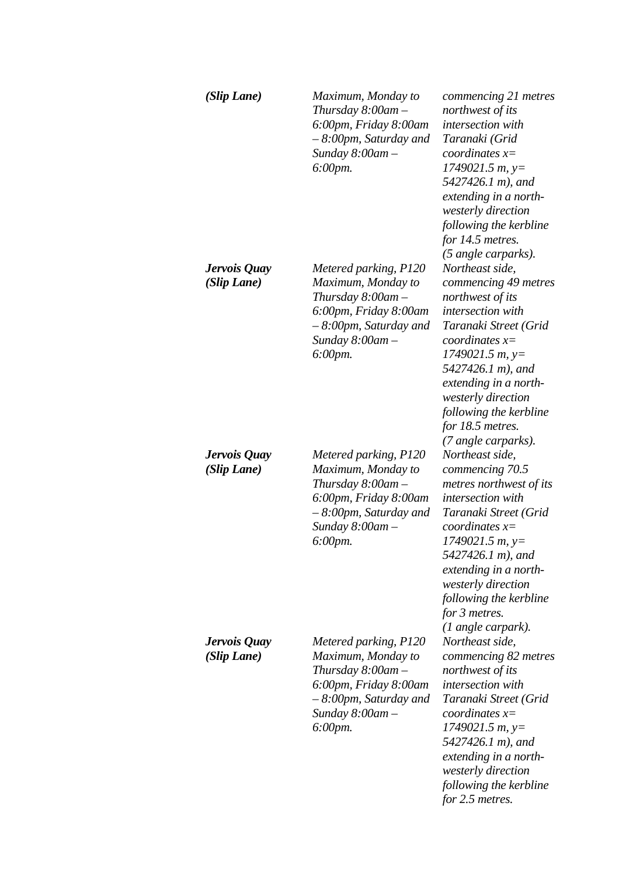| (Slip Lane)                 | Maximum, Monday to<br>Thursday 8:00am –<br>6:00pm, Friday 8:00am<br>$-8.00$ pm, Saturday and<br>Sunday $8:00$ am $-$<br>6:00pm.                               | commencing 21 metres<br>northwest of its<br><i>intersection</i> with<br>Taranaki (Grid<br>coordinates $x=$<br>$1749021.5 m$ , y=<br>5427426.1 m), and<br>extending in a north-<br>westerly direction<br>following the kerbline<br>for 14.5 metres.<br>(5 angle carparks).                           |
|-----------------------------|---------------------------------------------------------------------------------------------------------------------------------------------------------------|-----------------------------------------------------------------------------------------------------------------------------------------------------------------------------------------------------------------------------------------------------------------------------------------------------|
| Jervois Quay<br>(Slip Lane) | Metered parking, P120<br>Maximum, Monday to<br>Thursday $8:00$ am $-$<br>6:00pm, Friday 8:00am<br>- 8:00pm, Saturday and<br>Sunday $8:00$ am $-$<br>6:00pm.   | Northeast side,<br>commencing 49 metres<br>northwest of its<br><i>intersection</i> with<br>Taranaki Street (Grid<br>coordinates $x=$<br>$1749021.5 m$ , y=<br>5427426.1 m), and<br>extending in a north-<br>westerly direction<br>following the kerbline<br>for 18.5 metres.<br>(7 angle carparks). |
| Jervois Quay<br>(Slip Lane) | Metered parking, P120<br>Maximum, Monday to<br>Thursday $8:00$ am $-$<br>6:00pm, Friday 8:00am<br>$-8.00$ pm, Saturday and<br>Sunday $8:00$ am $-$<br>6:00pm. | Northeast side,<br>commencing 70.5<br>metres northwest of its<br>intersection with<br>Taranaki Street (Grid<br>coordinates $x=$<br>1749021.5 m, y=<br>5427426.1 m), and<br>extending in a north-<br>westerly direction<br>following the kerbline<br>for 3 metres.<br>(1 angle carpark).             |
| Jervois Quay<br>(Slip Lane) | Metered parking, P120<br>Maximum, Monday to<br>Thursday 8:00am –<br>6:00pm, Friday 8:00am<br>$-8.00$ pm, Saturday and<br>Sunday $8:00$ am $-$<br>$6:00$ pm.   | Northeast side,<br>commencing 82 metres<br>northwest of its<br>intersection with<br>Taranaki Street (Grid<br>coordinates $x=$<br>$1749021.5 m$ , y=<br>5427426.1 m), and<br>extending in a north-<br>westerly direction<br>following the kerbline<br>for 2.5 metres.                                |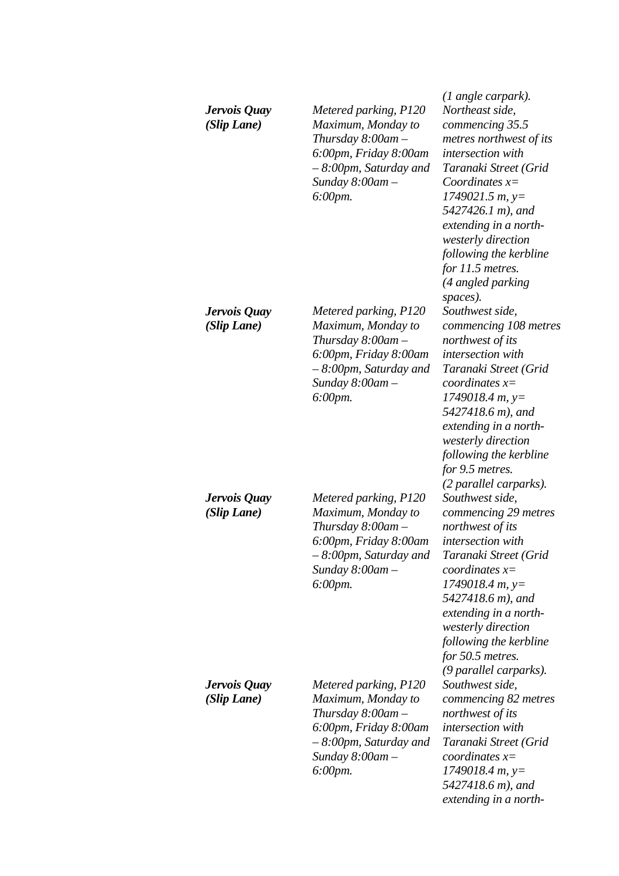| Jervois Quay<br>(Slip Lane) | Metered parking, P120<br>Maximum, Monday to<br>Thursday $8:00$ am $-$<br>6:00pm, Friday 8:00am<br>- 8:00pm, Saturday and<br>Sunday $8:00$ am $-$<br>6:00pm.   | (1 angle carpark).<br>Northeast side,<br>commencing 35.5<br>metres northwest of its<br>intersection with<br>Taranaki Street (Grid<br>Coordinates $x=$<br>$1749021.5 m$ , y=<br>5427426.1 m), and<br>extending in a north-<br>westerly direction<br>following the kerbline<br>for $11.5$ metres.<br>(4 angled parking |
|-----------------------------|---------------------------------------------------------------------------------------------------------------------------------------------------------------|----------------------------------------------------------------------------------------------------------------------------------------------------------------------------------------------------------------------------------------------------------------------------------------------------------------------|
| Jervois Quay<br>(Slip Lane) | Metered parking, P120<br>Maximum, Monday to<br>Thursday $8:00$ am $-$<br>6:00pm, Friday 8:00am<br>$-8.00$ pm, Saturday and<br>Sunday $8:00$ am $-$<br>6:00pm. | spaces).<br>Southwest side,<br>commencing 108 metres<br>northwest of its<br>intersection with<br>Taranaki Street (Grid<br>coordinates $x=$<br>$1749018.4 m, y=$<br>5427418.6 m), and<br>extending in a north-<br>westerly direction<br>following the kerbline<br>for 9.5 metres.<br>(2 parallel carparks).           |
| Jervois Quay<br>(Slip Lane) | Metered parking, P120<br>Maximum, Monday to<br>Thursday $8:00$ am $-$<br>6:00pm, Friday 8:00am<br>$-8.00$ pm, Saturday and<br>Sunday $8:00$ am $-$<br>6:00pm. | Southwest side,<br>commencing 29 metres<br>northwest of its<br>intersection with<br>Taranaki Street (Grid<br>coordinates $x=$<br>$1749018.4 m, y=$<br>5427418.6 m), and<br>extending in a north-<br>westerly direction<br>following the kerbline<br>for 50.5 metres.<br>(9 parallel carparks).                       |
| Jervois Quay<br>(Slip Lane) | Metered parking, P120<br>Maximum, Monday to<br>Thursday $8:00$ am $-$<br>6:00pm, Friday 8:00am<br>$-8.00$ pm, Saturday and<br>Sunday 8:00am-<br>$6:00$ pm.    | Southwest side,<br>commencing 82 metres<br>northwest of its<br>intersection with<br>Taranaki Street (Grid<br>$coordinates x=$<br>$1749018.4 m, y=$<br>5427418.6 m), and<br>extending in a north-                                                                                                                     |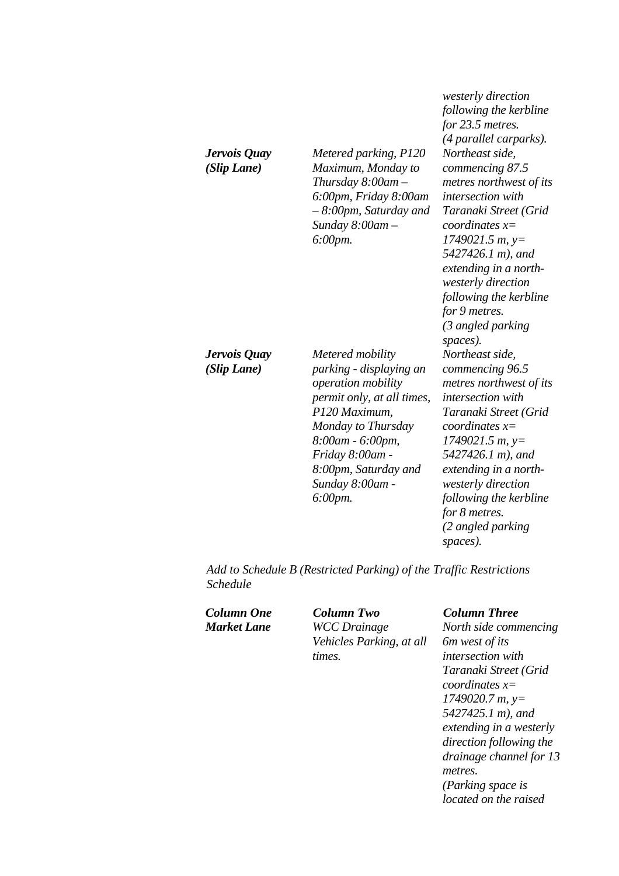|                             |                                                                                                                                                                                                                                     | following the ke.<br>for 23.5 metres.<br>(4 parallel carpe                                                                                                                                                                                                                   |
|-----------------------------|-------------------------------------------------------------------------------------------------------------------------------------------------------------------------------------------------------------------------------------|------------------------------------------------------------------------------------------------------------------------------------------------------------------------------------------------------------------------------------------------------------------------------|
| Jervois Quay<br>(Slip Lane) | Metered parking, P120<br>Maximum, Monday to<br>Thursday $8:00$ am $-$<br>6:00pm, Friday 8:00am<br>$-8.00$ pm, Saturday and<br>Sunday $8:00$ am $-$<br>6:00pm.                                                                       | Northeast side,<br>commencing 87.<br>metres northwes<br><i>intersection with</i><br>Taranaki Street<br>coordinates $x=$<br>1749021.5 m, y=<br>5427426.1 m), a<br>extending in a n<br>westerly directic<br>following the ke.<br>for 9 metres.<br>(3 angled parkir<br>spaces). |
| Jervois Quay<br>(Slip Lane) | Metered mobility<br>parking - displaying an<br>operation mobility<br>permit only, at all times,<br>P120 Maximum,<br>Monday to Thursday<br>8:00am - 6:00pm,<br>Friday 8:00am -<br>8:00pm, Saturday and<br>Sunday 8:00am -<br>6:00pm. | Northeast side,<br>commencing 96.<br>metres northwes<br>intersection with<br>Taranaki Street<br>coordinates $x=$<br>1749021.5 m, y=<br>5427426.1 m), a<br>extending in a n<br>westerly directic<br>following the ke.<br>$f_{\alpha\mu}$ $Q$ mature                           |

*following the kerbline for 23.5 metres. (4 parallel carparks). commencing 87.5 metres of its intersection with Taranaki Street (Grid 1749021.5 m, y= 5427426.1 m), and extending in a northwesterly direction following the kerbline (3 angled parking commencing 96.5 metres of its intersection with Taranaki Street (Grid 1749021.5 m, y= 5427426.1 m), and extending in a northwesterly direction following the kerbline for 8 metres. (2 angled parking spaces).* 

*westerly direction* 

*Add to Schedule B (Restricted Parking) of the Traffic Restrictions Schedule* 

*Column One Column Two Column Three Market Lane WCC Drainage Vehicles Parking, at all times.* 

*North side commencing 6m west of its intersection with Taranaki Street (Grid coordinates x= 1749020.7 m, y= 5427425.1 m), and extending in a westerly direction following the drainage channel for 13 metres. (Parking space is located on the raised*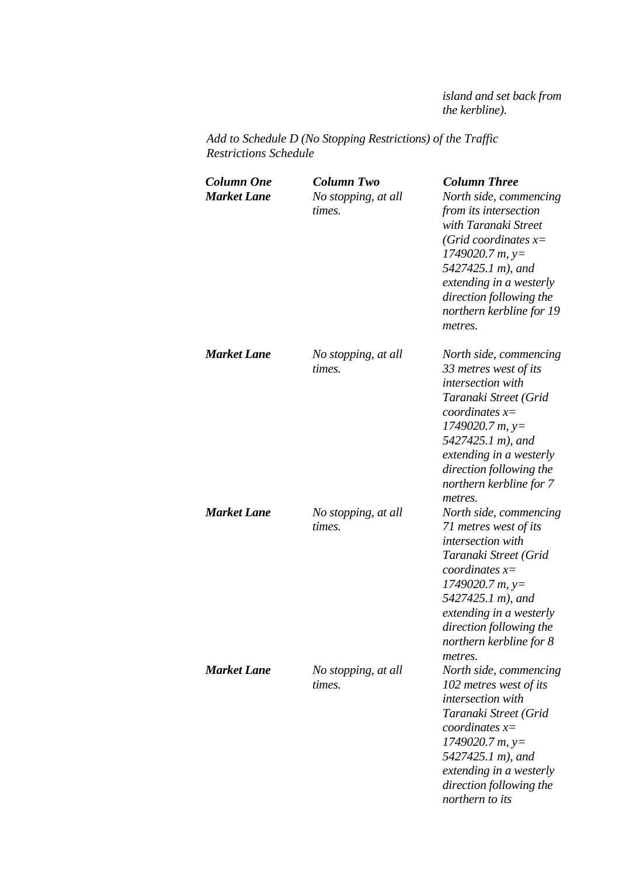*island and set back from the kerbline).* 

*Add to Schedule D (No Stopping Restrictions) of the Traffic Restrictions Schedule* 

| <b>Column One</b><br><b>Market Lane</b> | <b>Column Two</b><br>No stopping, at all<br>times. | <b>Column Three</b><br>North side, commencing<br>from its intersection<br>with Taranaki Street<br>(Grid coordinates $x=$<br>$1749020.7 m$ , y=<br>5427425.1 m), and<br>extending in a westerly<br>direction following the<br>northern kerbline for 19<br>metres. |
|-----------------------------------------|----------------------------------------------------|------------------------------------------------------------------------------------------------------------------------------------------------------------------------------------------------------------------------------------------------------------------|
| <b>Market Lane</b>                      | No stopping, at all<br>times.                      | North side, commencing<br>33 metres west of its<br>intersection with<br>Taranaki Street (Grid<br>coordinates $x=$<br>$1749020.7 m$ , y=<br>5427425.1 m), and<br>extending in a westerly<br>direction following the<br>northern kerbline for 7<br>metres.         |
| <b>Market Lane</b>                      | No stopping, at all<br>times.                      | North side, commencing<br>71 metres west of its<br>intersection with<br>Taranaki Street (Grid<br>coordinates $x=$<br>$1749020.7 m$ , y=<br>5427425.1 m), and<br>extending in a westerly<br>direction following the<br>northern kerbline for 8<br>metres.         |
| <b>Market Lane</b>                      | No stopping, at all<br>times.                      | North side, commencing<br>102 metres west of its<br>intersection with<br>Taranaki Street (Grid<br>coordinates $x=$<br>$1749020.7 m$ , y=<br>5427425.1 m), and<br>extending in a westerly<br>direction following the<br>northern to its                           |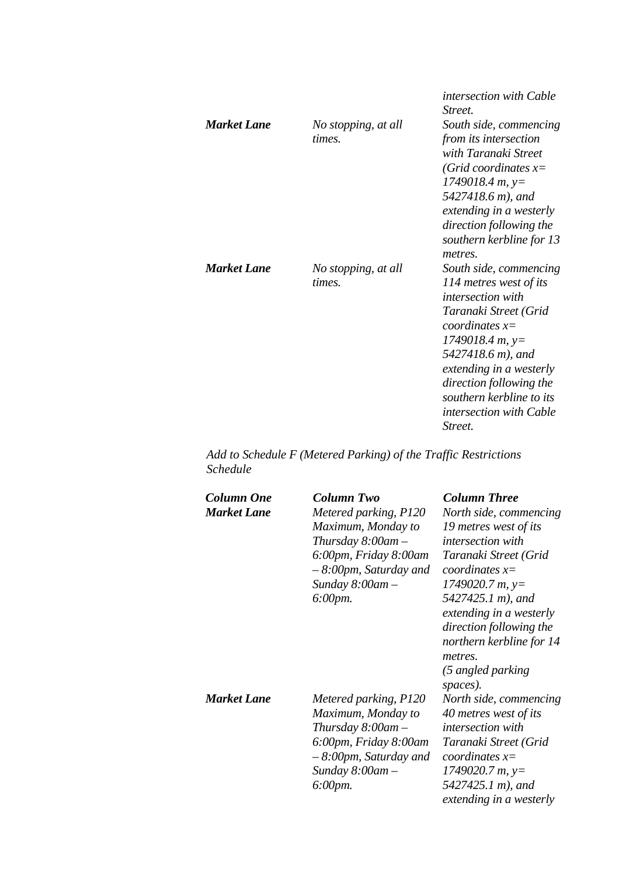| <b>Market Lane</b> | No stopping, at all<br>times. | <i>intersection with Cable</i><br><i>Street.</i><br>South side, commencing<br>from its intersection<br>with Taranaki Street<br>(Grid coordinates $x=$<br>$1749018.4 m$ , y=<br>5427418.6 m), and<br>extending in a westerly<br>direction following the<br>southern kerbline for 13<br>metres. |
|--------------------|-------------------------------|-----------------------------------------------------------------------------------------------------------------------------------------------------------------------------------------------------------------------------------------------------------------------------------------------|
| Market Lane        | No stopping, at all<br>times. | South side, commencing<br>114 metres west of its<br><i>intersection with</i><br>Taranaki Street (Grid<br>coordinates $x=$<br>$1749018.4 m, y=$<br>5427418.6 m), and<br>extending in a westerly<br>direction following the<br>southern kerbline to its<br>intersection with Cable<br>Street.   |

*Add to Schedule F (Metered Parking) of the Traffic Restrictions Schedule* 

| Column One<br><b>Market Lane</b> | Column Two<br>Metered parking, P120<br>Maximum, Monday to<br>Thursday $8:00$ am $-$<br>6:00pm, Friday 8:00am<br>$-8:00$ pm, Saturday and<br>Sunday $8:00$ am $-$<br>$6:00$ pm. | <b>Column Three</b><br>North side, commencing<br>19 metres west of its<br>intersection with<br>Taranaki Street (Grid<br>coordinates $x=$<br>$1749020.7 m$ , y=<br>5427425.1 m), and<br>extending in a westerly<br>direction following the<br>northern kerbline for 14<br>metres.<br>(5 angled parking<br>spaces). |
|----------------------------------|--------------------------------------------------------------------------------------------------------------------------------------------------------------------------------|-------------------------------------------------------------------------------------------------------------------------------------------------------------------------------------------------------------------------------------------------------------------------------------------------------------------|
| <b>Market Lane</b>               | Metered parking, P120<br>Maximum, Monday to<br>Thursday $8:00$ am $-$<br>6:00pm, Friday 8:00am<br>$-8:00$ pm, Saturday and<br>Sunday $8:00$ am $-$<br>6:00pm.                  | North side, commencing<br>40 metres west of its<br><i>intersection</i> with<br>Taranaki Street (Grid<br>coordinates $x=$<br>$1749020.7 m$ , y=<br>5427425.1 m), and<br>extending in a westerly                                                                                                                    |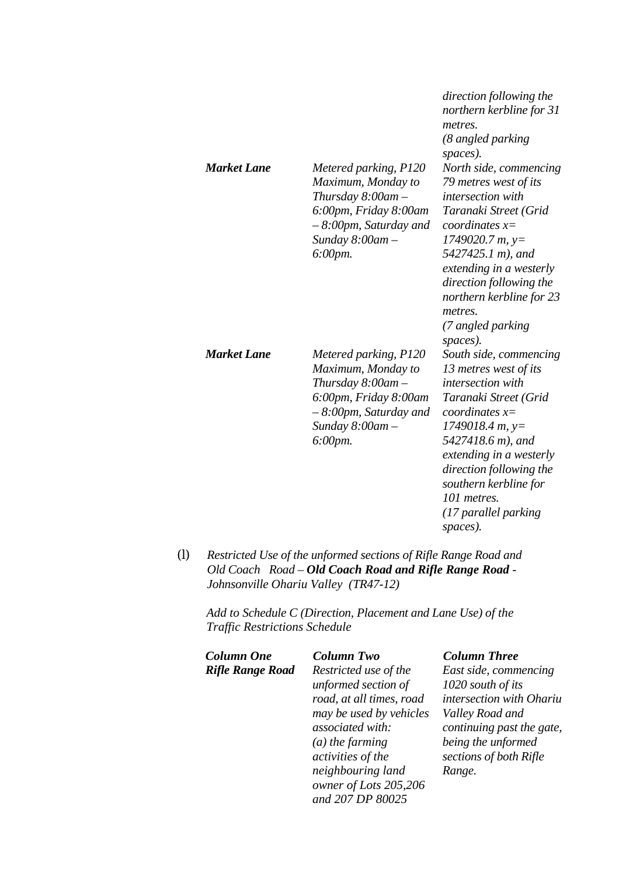| <b>Market Lane</b> | Metered parking, P120<br>Maximum, Monday to<br>Thursday $8:00$ am $-$<br>6:00pm, Friday 8:00am<br>$-8.00$ pm, Saturday and<br>Sunday $8:00$ am $-$<br>$6:00$ pm.           | direction following the<br>northern kerbline for 31<br>metres.<br>(8 angled parking<br>spaces).<br>North side, commencing<br>79 metres west of its<br><i>intersection</i> with<br>Taranaki Street (Grid<br>coordinates $x=$<br>$1749020.7 m$ , y=<br>5427425.1 m), and<br>extending in a westerly<br>direction following the<br>northern kerbline for 23<br>metres. |
|--------------------|----------------------------------------------------------------------------------------------------------------------------------------------------------------------------|---------------------------------------------------------------------------------------------------------------------------------------------------------------------------------------------------------------------------------------------------------------------------------------------------------------------------------------------------------------------|
| <b>Market Lane</b> | Metered parking, P120<br>Maximum, Monday to<br>Thursday $8:00$ am $-$<br>6:00pm, Friday 8:00am<br>$-8.00$ pm, Saturday and<br>Sunday $8:00$ am $-$<br>$6:00 \, \text{pm}.$ | (7 angled parking<br>spaces).<br>South side, commencing<br>13 metres west of its<br><i>intersection</i> with<br>Taranaki Street (Grid<br>coordinates $x=$<br>$1749018.4 m$ , y=<br>5427418.6 m), and<br>extending in a westerly<br>direction following the<br>southern kerbline for<br>101 metres.<br>(17 parallel parking                                          |

*(l) Restricted Use of the unformed sections of Rifle Range Road and Old Coach Road – Old Coach Road and Rifle Range Road - Johnsonville Ohariu Valley (TR47-12)* 

*Add to Schedule C (Direction, Placement and Lane Use) of the Traffic Restrictions Schedule* 

| <b>Column One</b>       | <b>Column Two</b>                      | <b>Column Three</b>                  |
|-------------------------|----------------------------------------|--------------------------------------|
| <b>Rifle Range Road</b> | Restricted use of the                  | East side, comm                      |
|                         | unformed section of                    | 1020 south of its                    |
|                         | road, at all times, road               | intersection with                    |
|                         | may be used by vehicles                | Valley Road and                      |
|                         | associated with:                       | continuing past                      |
|                         | $(a)$ the farming<br>activities of the | being the unform<br>sections of both |
|                         | neighbouring land                      | Range.                               |
|                         | owner of Lots 205,206                  |                                      |
|                         | and 207 DP 80025                       |                                      |

*East side, commencing 1020 south of its intersection with Ohariu Valley Road and continuing past the gate, bing the unformed sections of both Rifle Range.* 

*spaces).*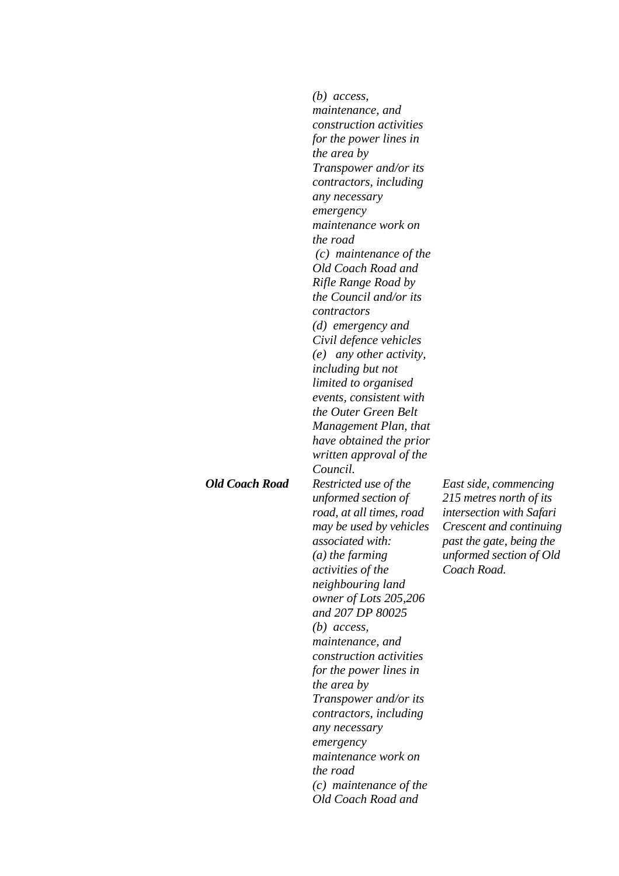|                       | $(b)$ access,<br>maintenance, and<br>construction activities<br>for the power lines in<br><i>the area by</i><br><i>Transpower and/or its</i><br>contractors, including<br>any necessary<br>emergency<br>maintenance work on<br>the road<br>$(c)$ maintenance of the<br>Old Coach Road and<br>Rifle Range Road by<br>the Council and/or its<br>contractors<br>$(d)$ emergency and<br>Civil defence vehicles<br>(e) any other activity,<br><i>including but not</i><br>limited to organised<br>events, consistent with<br>the Outer Green Belt<br>Management Plan, that<br>have obtained the prior |                                                                                                                                                                                      |
|-----------------------|--------------------------------------------------------------------------------------------------------------------------------------------------------------------------------------------------------------------------------------------------------------------------------------------------------------------------------------------------------------------------------------------------------------------------------------------------------------------------------------------------------------------------------------------------------------------------------------------------|--------------------------------------------------------------------------------------------------------------------------------------------------------------------------------------|
| <b>Old Coach Road</b> | written approval of the<br>Council.<br>Restricted use of the<br>unformed section of<br>road, at all times, road<br>may be used by vehicles<br>associated with:<br>$(a)$ the farming<br>activities of the<br>neighbouring land<br>owner of Lots 205,206<br>and 207 DP 80025<br>$(b)$ access,<br>maintenance, and<br>construction activities<br>for the power lines in<br>the area by<br>Transpower and/or its<br>contractors, including<br>any necessary<br>emergency<br>maintenance work on<br>the road<br>$(c)$ maintenance of the<br>Old Coach Road and                                        | East side, commencing<br>215 metres north of its<br><i>intersection with Safari</i><br>Crescent and continuing<br>past the gate, being the<br>unformed section of Old<br>Coach Road. |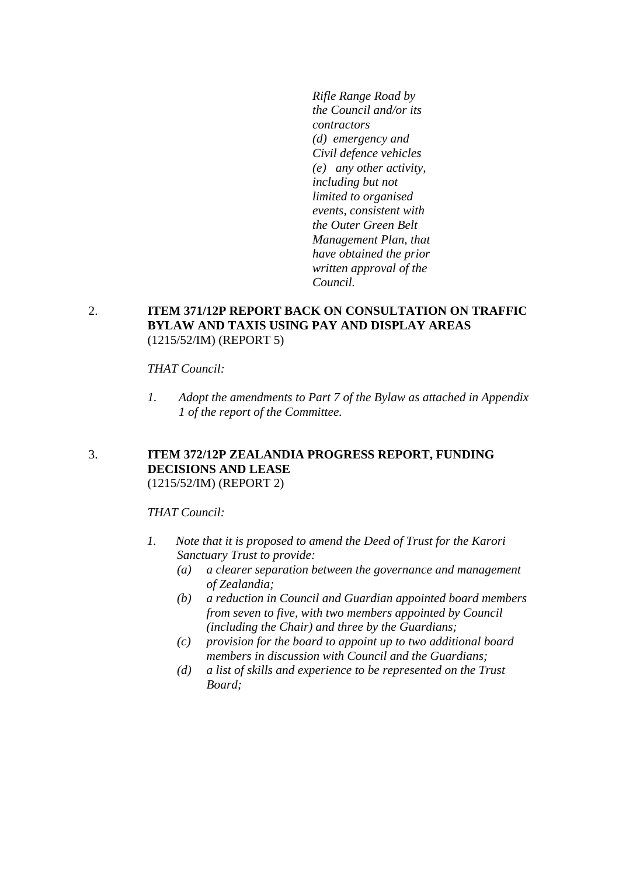*Rifle Range Road by the Council and/or its contractors (d) emergency and Civil defence vehicles (e) any other activity, including but not limited to organised events, consistent with the Outer Green Belt Management Plan, that have obtained the prior written approval of the Council.*

#### 2. **ITEM 371/12P REPORT BACK ON CONSULTATION ON TRAFFIC BYLAW AND TAXIS USING PAY AND DISPLAY AREAS**  (1215/52/IM) (REPORT 5)

#### *THAT Council:*

*1. Adopt the amendments to Part 7 of the Bylaw as attached in Appendix 1 of the report of the Committee.* 

#### 3. **ITEM 372/12P ZEALANDIA PROGRESS REPORT, FUNDING DECISIONS AND LEASE**  (1215/52/IM) (REPORT 2)

#### *THAT Council:*

- *1. Note that it is proposed to amend the Deed of Trust for the Karori Sanctuary Trust to provide:* 
	- *(a) a clearer separation between the governance and management of Zealandia;*
	- *(b) a reduction in Council and Guardian appointed board members from seven to five, with two members appointed by Council (including the Chair) and three by the Guardians;*
	- *(c) provision for the board to appoint up to two additional board members in discussion with Council and the Guardians;*
	- *(d) a list of skills and experience to be represented on the Trust Board;*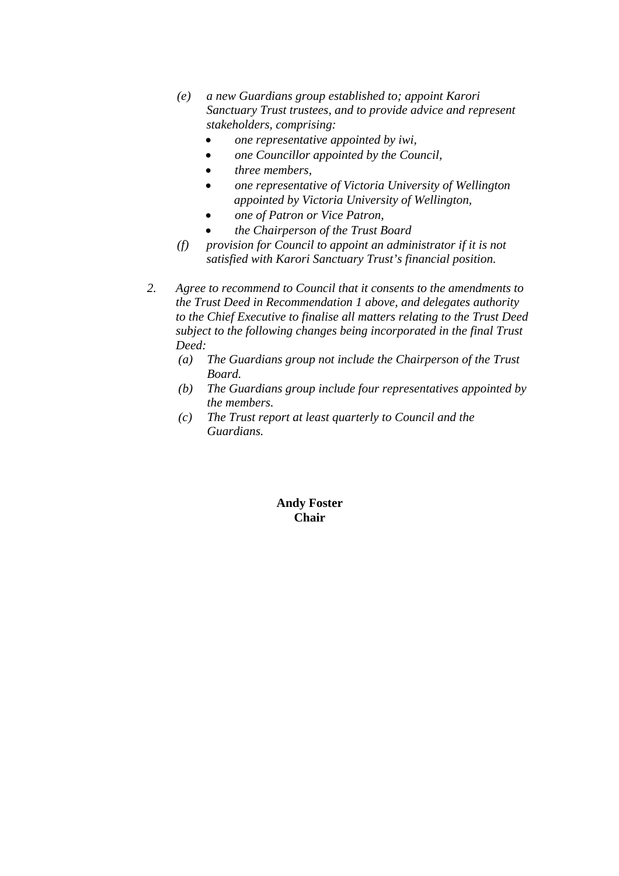- *(e) a new Guardians group established to; appoint Karori Sanctuary Trust trustees, and to provide advice and represent stakeholders, comprising:* 
	- *one representative appointed by iwi,*
	- *one Councillor appointed by the Council,*
	- *three members,*
	- *one representative of Victoria University of Wellington appointed by Victoria University of Wellington,*
	- *one of Patron or Vice Patron,*
	- *the Chairperson of the Trust Board*
- *(f) provision for Council to appoint an administrator if it is not satisfied with Karori Sanctuary Trust's financial position.*
- *2. Agree to recommend to Council that it consents to the amendments to the Trust Deed in Recommendation 1 above, and delegates authority to the Chief Executive to finalise all matters relating to the Trust Deed subject to the following changes being incorporated in the final Trust Deed:* 
	- *(a) The Guardians group not include the Chairperson of the Trust Board.*
	- *(b) The Guardians group include four representatives appointed by the members.*
	- *(c) The Trust report at least quarterly to Council and the Guardians.*

#### **Andy Foster Chair**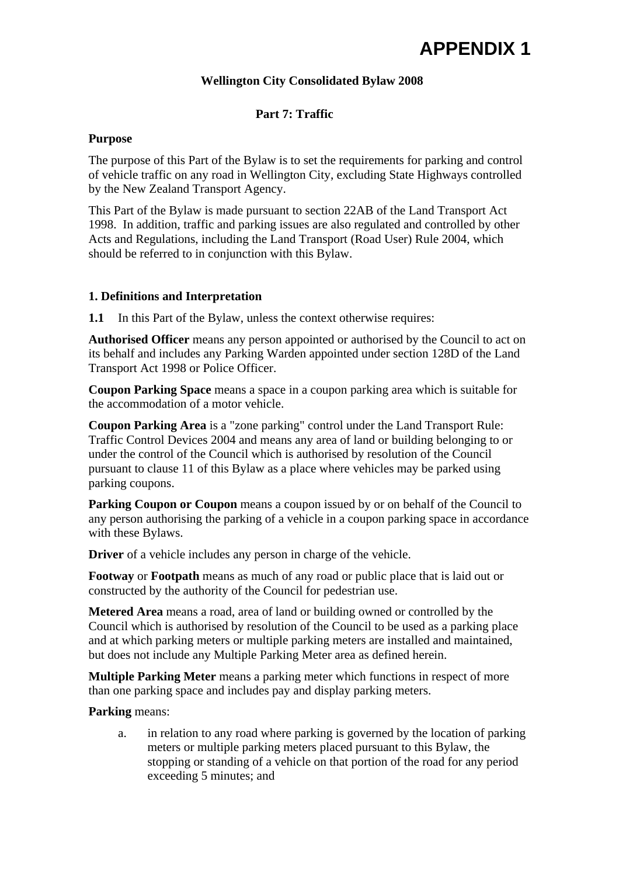# **APPENDIX 1**

### **Wellington City Consolidated Bylaw 2008**

### **Part 7: Traffic**

#### **Purpose**

The purpose of this Part of the Bylaw is to set the requirements for parking and control of vehicle traffic on any road in Wellington City, excluding State Highways controlled by the New Zealand Transport Agency.

This Part of the Bylaw is made pursuant to section 22AB of the Land Transport Act 1998. In addition, traffic and parking issues are also regulated and controlled by other Acts and Regulations, including the Land Transport (Road User) Rule 2004, which should be referred to in conjunction with this Bylaw.

#### **1. Definitions and Interpretation**

**1.1** In this Part of the Bylaw, unless the context otherwise requires:

**Authorised Officer** means any person appointed or authorised by the Council to act on its behalf and includes any Parking Warden appointed under section 128D of the Land Transport Act 1998 or Police Officer.

**Coupon Parking Space** means a space in a coupon parking area which is suitable for the accommodation of a motor vehicle.

**Coupon Parking Area** is a "zone parking" control under the Land Transport Rule: Traffic Control Devices 2004 and means any area of land or building belonging to or under the control of the Council which is authorised by resolution of the Council pursuant to clause 11 of this Bylaw as a place where vehicles may be parked using parking coupons.

**Parking Coupon or Coupon** means a coupon issued by or on behalf of the Council to any person authorising the parking of a vehicle in a coupon parking space in accordance with these Bylaws.

**Driver** of a vehicle includes any person in charge of the vehicle.

**Footway** or **Footpath** means as much of any road or public place that is laid out or constructed by the authority of the Council for pedestrian use.

**Metered Area** means a road, area of land or building owned or controlled by the Council which is authorised by resolution of the Council to be used as a parking place and at which parking meters or multiple parking meters are installed and maintained, but does not include any Multiple Parking Meter area as defined herein.

**Multiple Parking Meter** means a parking meter which functions in respect of more than one parking space and includes pay and display parking meters.

#### **Parking** means:

a. in relation to any road where parking is governed by the location of parking meters or multiple parking meters placed pursuant to this Bylaw, the stopping or standing of a vehicle on that portion of the road for any period exceeding 5 minutes; and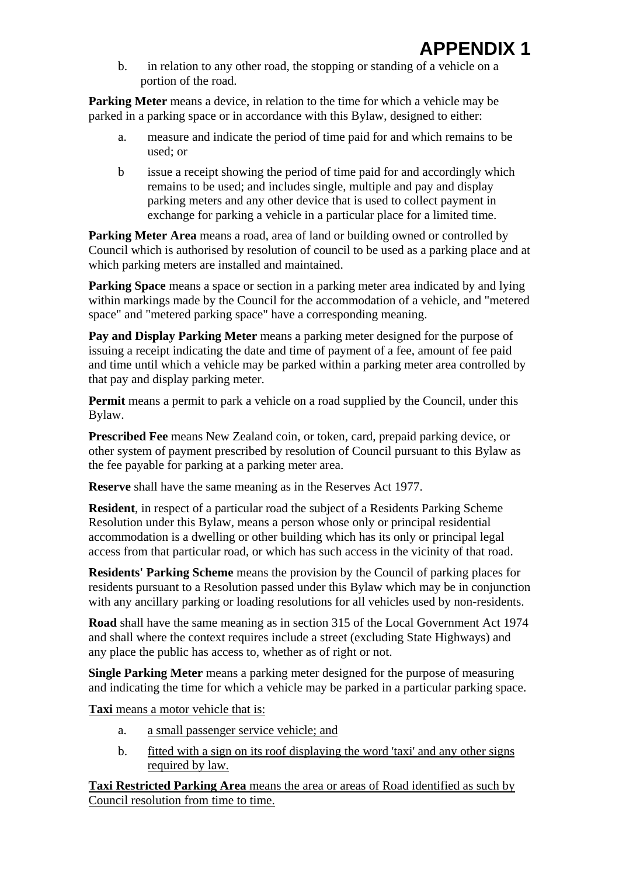b. in relation to any other road, the stopping or standing of a vehicle on a portion of the road.

**Parking Meter** means a device, in relation to the time for which a vehicle may be parked in a parking space or in accordance with this Bylaw, designed to either:

- a. measure and indicate the period of time paid for and which remains to be used; or
- b issue a receipt showing the period of time paid for and accordingly which remains to be used; and includes single, multiple and pay and display parking meters and any other device that is used to collect payment in exchange for parking a vehicle in a particular place for a limited time.

**Parking Meter Area** means a road, area of land or building owned or controlled by Council which is authorised by resolution of council to be used as a parking place and at which parking meters are installed and maintained.

**Parking Space** means a space or section in a parking meter area indicated by and lying within markings made by the Council for the accommodation of a vehicle, and "metered space" and "metered parking space" have a corresponding meaning.

**Pay and Display Parking Meter** means a parking meter designed for the purpose of issuing a receipt indicating the date and time of payment of a fee, amount of fee paid and time until which a vehicle may be parked within a parking meter area controlled by that pay and display parking meter.

**Permit** means a permit to park a vehicle on a road supplied by the Council, under this Bylaw.

**Prescribed Fee** means New Zealand coin, or token, card, prepaid parking device, or other system of payment prescribed by resolution of Council pursuant to this Bylaw as the fee payable for parking at a parking meter area.

**Reserve** shall have the same meaning as in the Reserves Act 1977.

**Resident**, in respect of a particular road the subject of a Residents Parking Scheme Resolution under this Bylaw, means a person whose only or principal residential accommodation is a dwelling or other building which has its only or principal legal access from that particular road, or which has such access in the vicinity of that road.

**Residents' Parking Scheme** means the provision by the Council of parking places for residents pursuant to a Resolution passed under this Bylaw which may be in conjunction with any ancillary parking or loading resolutions for all vehicles used by non-residents.

**Road** shall have the same meaning as in section 315 of the Local Government Act 1974 and shall where the context requires include a street (excluding State Highways) and any place the public has access to, whether as of right or not.

**Single Parking Meter** means a parking meter designed for the purpose of measuring and indicating the time for which a vehicle may be parked in a particular parking space.

**Taxi** means a motor vehicle that is:

- a. a small passenger service vehicle; and
- b. fitted with a sign on its roof displaying the word 'taxi' and any other signs required by law.

**Taxi Restricted Parking Area** means the area or areas of Road identified as such by Council resolution from time to time.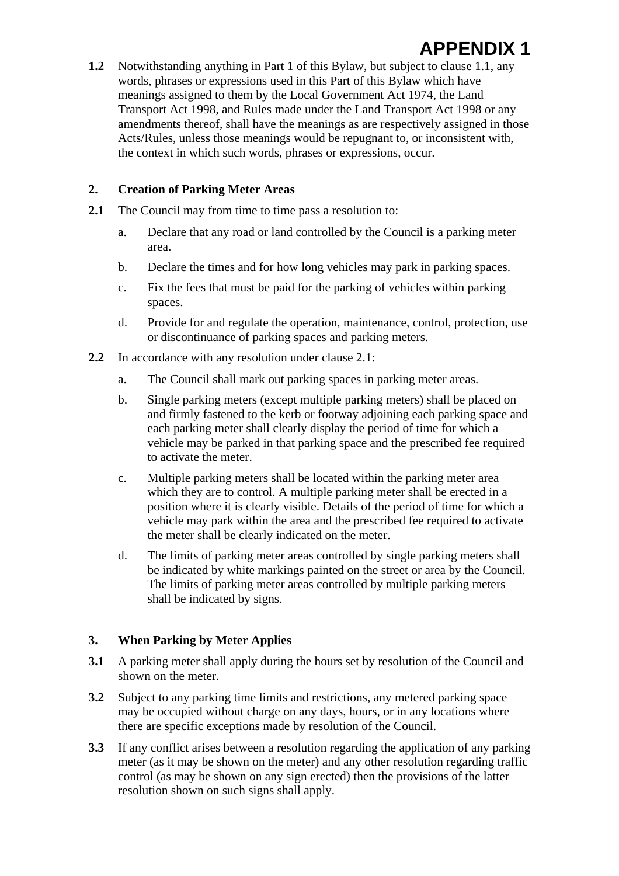**1.2** Notwithstanding anything in Part 1 of this Bylaw, but subject to clause 1.1, any words, phrases or expressions used in this Part of this Bylaw which have meanings assigned to them by the Local Government Act 1974, the Land Transport Act 1998, and Rules made under the Land Transport Act 1998 or any amendments thereof, shall have the meanings as are respectively assigned in those Acts/Rules, unless those meanings would be repugnant to, or inconsistent with, the context in which such words, phrases or expressions, occur.

### **2. Creation of Parking Meter Areas**

- **2.1** The Council may from time to time pass a resolution to:
	- a. Declare that any road or land controlled by the Council is a parking meter area.
	- b. Declare the times and for how long vehicles may park in parking spaces.
	- c. Fix the fees that must be paid for the parking of vehicles within parking spaces.
	- d. Provide for and regulate the operation, maintenance, control, protection, use or discontinuance of parking spaces and parking meters.
- **2.2** In accordance with any resolution under clause 2.1:
	- a. The Council shall mark out parking spaces in parking meter areas.
	- b. Single parking meters (except multiple parking meters) shall be placed on and firmly fastened to the kerb or footway adjoining each parking space and each parking meter shall clearly display the period of time for which a vehicle may be parked in that parking space and the prescribed fee required to activate the meter.
	- c. Multiple parking meters shall be located within the parking meter area which they are to control. A multiple parking meter shall be erected in a position where it is clearly visible. Details of the period of time for which a vehicle may park within the area and the prescribed fee required to activate the meter shall be clearly indicated on the meter.
	- d. The limits of parking meter areas controlled by single parking meters shall be indicated by white markings painted on the street or area by the Council. The limits of parking meter areas controlled by multiple parking meters shall be indicated by signs.

### **3. When Parking by Meter Applies**

- **3.1** A parking meter shall apply during the hours set by resolution of the Council and shown on the meter.
- **3.2** Subject to any parking time limits and restrictions, any metered parking space may be occupied without charge on any days, hours, or in any locations where there are specific exceptions made by resolution of the Council.
- **3.3** If any conflict arises between a resolution regarding the application of any parking meter (as it may be shown on the meter) and any other resolution regarding traffic control (as may be shown on any sign erected) then the provisions of the latter resolution shown on such signs shall apply.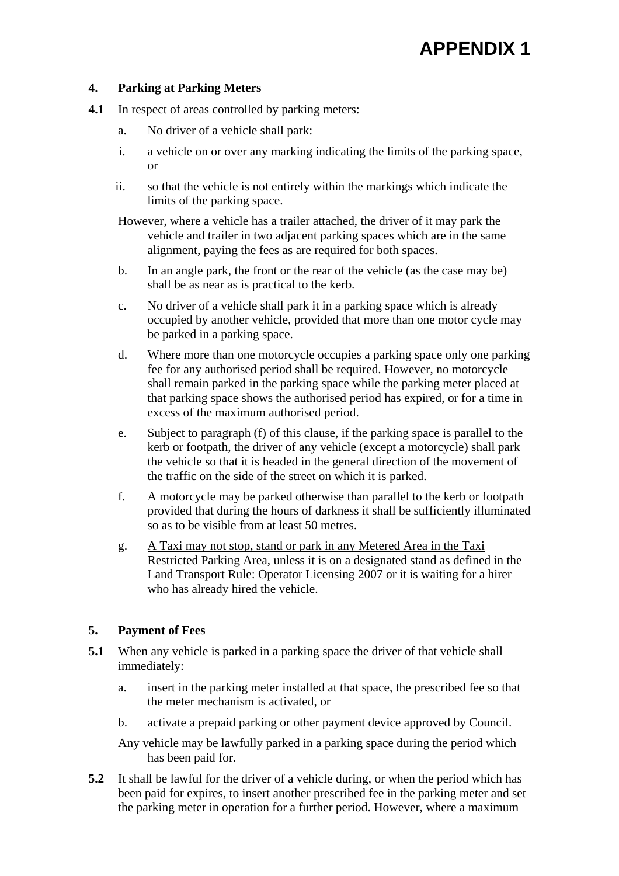#### **4. Parking at Parking Meters**

- **4.1** In respect of areas controlled by parking meters:
	- a. No driver of a vehicle shall park:
	- i. a vehicle on or over any marking indicating the limits of the parking space, or
	- ii. so that the vehicle is not entirely within the markings which indicate the limits of the parking space.

However, where a vehicle has a trailer attached, the driver of it may park the vehicle and trailer in two adjacent parking spaces which are in the same alignment, paying the fees as are required for both spaces.

- b. In an angle park, the front or the rear of the vehicle (as the case may be) shall be as near as is practical to the kerb.
- c. No driver of a vehicle shall park it in a parking space which is already occupied by another vehicle, provided that more than one motor cycle may be parked in a parking space.
- d. Where more than one motorcycle occupies a parking space only one parking fee for any authorised period shall be required. However, no motorcycle shall remain parked in the parking space while the parking meter placed at that parking space shows the authorised period has expired, or for a time in excess of the maximum authorised period.
- e. Subject to paragraph (f) of this clause, if the parking space is parallel to the kerb or footpath, the driver of any vehicle (except a motorcycle) shall park the vehicle so that it is headed in the general direction of the movement of the traffic on the side of the street on which it is parked.
- f. A motorcycle may be parked otherwise than parallel to the kerb or footpath provided that during the hours of darkness it shall be sufficiently illuminated so as to be visible from at least 50 metres.
- g. A Taxi may not stop, stand or park in any Metered Area in the Taxi Restricted Parking Area, unless it is on a designated stand as defined in the Land Transport Rule: Operator Licensing 2007 or it is waiting for a hirer who has already hired the vehicle.

### **5. Payment of Fees**

- **5.1** When any vehicle is parked in a parking space the driver of that vehicle shall immediately:
	- a. insert in the parking meter installed at that space, the prescribed fee so that the meter mechanism is activated, or
	- b. activate a prepaid parking or other payment device approved by Council.

Any vehicle may be lawfully parked in a parking space during the period which has been paid for.

**5.2** It shall be lawful for the driver of a vehicle during, or when the period which has been paid for expires, to insert another prescribed fee in the parking meter and set the parking meter in operation for a further period. However, where a maximum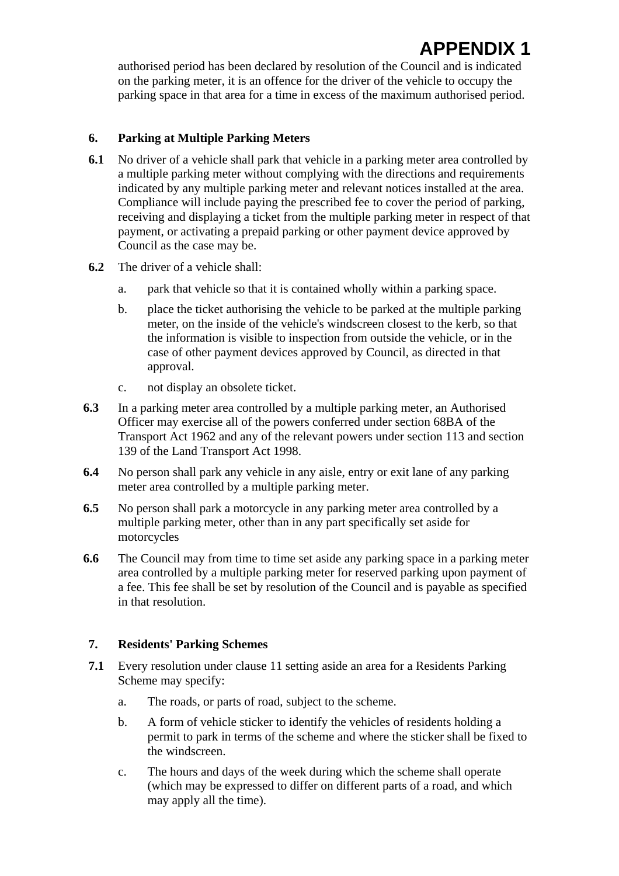authorised period has been declared by resolution of the Council and is indicated on the parking meter, it is an offence for the driver of the vehicle to occupy the parking space in that area for a time in excess of the maximum authorised period.

### **6. Parking at Multiple Parking Meters**

- **6.1** No driver of a vehicle shall park that vehicle in a parking meter area controlled by a multiple parking meter without complying with the directions and requirements indicated by any multiple parking meter and relevant notices installed at the area. Compliance will include paying the prescribed fee to cover the period of parking, receiving and displaying a ticket from the multiple parking meter in respect of that payment, or activating a prepaid parking or other payment device approved by Council as the case may be.
- **6.2** The driver of a vehicle shall:
	- a. park that vehicle so that it is contained wholly within a parking space.
	- b. place the ticket authorising the vehicle to be parked at the multiple parking meter, on the inside of the vehicle's windscreen closest to the kerb, so that the information is visible to inspection from outside the vehicle, or in the case of other payment devices approved by Council, as directed in that approval.
	- c. not display an obsolete ticket.
- **6.3** In a parking meter area controlled by a multiple parking meter, an Authorised Officer may exercise all of the powers conferred under section 68BA of the Transport Act 1962 and any of the relevant powers under section 113 and section 139 of the Land Transport Act 1998.
- **6.4** No person shall park any vehicle in any aisle, entry or exit lane of any parking meter area controlled by a multiple parking meter.
- **6.5** No person shall park a motorcycle in any parking meter area controlled by a multiple parking meter, other than in any part specifically set aside for motorcycles
- **6.6** The Council may from time to time set aside any parking space in a parking meter area controlled by a multiple parking meter for reserved parking upon payment of a fee. This fee shall be set by resolution of the Council and is payable as specified in that resolution.

### **7. Residents' Parking Schemes**

- **7.1** Every resolution under clause 11 setting aside an area for a Residents Parking Scheme may specify:
	- a. The roads, or parts of road, subject to the scheme.
	- b. A form of vehicle sticker to identify the vehicles of residents holding a permit to park in terms of the scheme and where the sticker shall be fixed to the windscreen.
	- c. The hours and days of the week during which the scheme shall operate (which may be expressed to differ on different parts of a road, and which may apply all the time).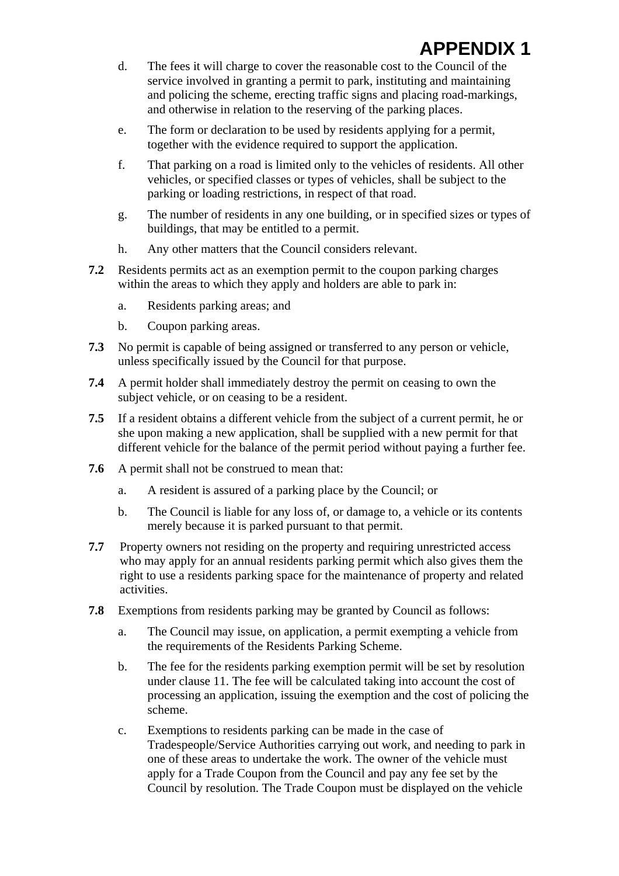- d. The fees it will charge to cover the reasonable cost to the Council of the service involved in granting a permit to park, instituting and maintaining and policing the scheme, erecting traffic signs and placing road-markings, and otherwise in relation to the reserving of the parking places.
- e. The form or declaration to be used by residents applying for a permit, together with the evidence required to support the application.
- f. That parking on a road is limited only to the vehicles of residents. All other vehicles, or specified classes or types of vehicles, shall be subject to the parking or loading restrictions, in respect of that road.
- g. The number of residents in any one building, or in specified sizes or types of buildings, that may be entitled to a permit.
- h. Any other matters that the Council considers relevant.
- **7.2** Residents permits act as an exemption permit to the coupon parking charges within the areas to which they apply and holders are able to park in:
	- a. Residents parking areas; and
	- b. Coupon parking areas.
- **7.3** No permit is capable of being assigned or transferred to any person or vehicle, unless specifically issued by the Council for that purpose.
- **7.4** A permit holder shall immediately destroy the permit on ceasing to own the subject vehicle, or on ceasing to be a resident.
- **7.5** If a resident obtains a different vehicle from the subject of a current permit, he or she upon making a new application, shall be supplied with a new permit for that different vehicle for the balance of the permit period without paying a further fee.
- **7.6** A permit shall not be construed to mean that:
	- a. A resident is assured of a parking place by the Council; or
	- b. The Council is liable for any loss of, or damage to, a vehicle or its contents merely because it is parked pursuant to that permit.
- **7.7** Property owners not residing on the property and requiring unrestricted access who may apply for an annual residents parking permit which also gives them the right to use a residents parking space for the maintenance of property and related activities.
- **7.8** Exemptions from residents parking may be granted by Council as follows:
	- a. The Council may issue, on application, a permit exempting a vehicle from the requirements of the Residents Parking Scheme.
	- b. The fee for the residents parking exemption permit will be set by resolution under clause 11. The fee will be calculated taking into account the cost of processing an application, issuing the exemption and the cost of policing the scheme.
	- c. Exemptions to residents parking can be made in the case of Tradespeople/Service Authorities carrying out work, and needing to park in one of these areas to undertake the work. The owner of the vehicle must apply for a Trade Coupon from the Council and pay any fee set by the Council by resolution. The Trade Coupon must be displayed on the vehicle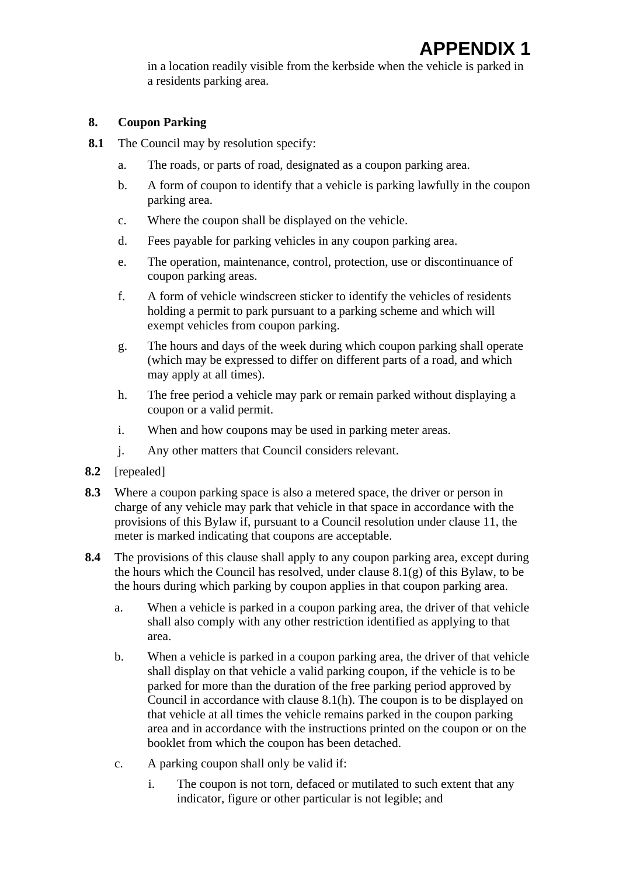in a location readily visible from the kerbside when the vehicle is parked in a residents parking area.

### **8. Coupon Parking**

- **8.1** The Council may by resolution specify:
	- a. The roads, or parts of road, designated as a coupon parking area.
	- b. A form of coupon to identify that a vehicle is parking lawfully in the coupon parking area.
	- c. Where the coupon shall be displayed on the vehicle.
	- d. Fees payable for parking vehicles in any coupon parking area.
	- e. The operation, maintenance, control, protection, use or discontinuance of coupon parking areas.
	- f. A form of vehicle windscreen sticker to identify the vehicles of residents holding a permit to park pursuant to a parking scheme and which will exempt vehicles from coupon parking.
	- g. The hours and days of the week during which coupon parking shall operate (which may be expressed to differ on different parts of a road, and which may apply at all times).
	- h. The free period a vehicle may park or remain parked without displaying a coupon or a valid permit.
	- i. When and how coupons may be used in parking meter areas.
	- j. Any other matters that Council considers relevant.
- **8.2** [repealed]
- **8.3** Where a coupon parking space is also a metered space, the driver or person in charge of any vehicle may park that vehicle in that space in accordance with the provisions of this Bylaw if, pursuant to a Council resolution under clause 11, the meter is marked indicating that coupons are acceptable.
- **8.4** The provisions of this clause shall apply to any coupon parking area, except during the hours which the Council has resolved, under clause 8.1(g) of this Bylaw, to be the hours during which parking by coupon applies in that coupon parking area.
	- a. When a vehicle is parked in a coupon parking area, the driver of that vehicle shall also comply with any other restriction identified as applying to that area.
	- b. When a vehicle is parked in a coupon parking area, the driver of that vehicle shall display on that vehicle a valid parking coupon, if the vehicle is to be parked for more than the duration of the free parking period approved by Council in accordance with clause 8.1(h). The coupon is to be displayed on that vehicle at all times the vehicle remains parked in the coupon parking area and in accordance with the instructions printed on the coupon or on the booklet from which the coupon has been detached.
	- c. A parking coupon shall only be valid if:
		- i. The coupon is not torn, defaced or mutilated to such extent that any indicator, figure or other particular is not legible; and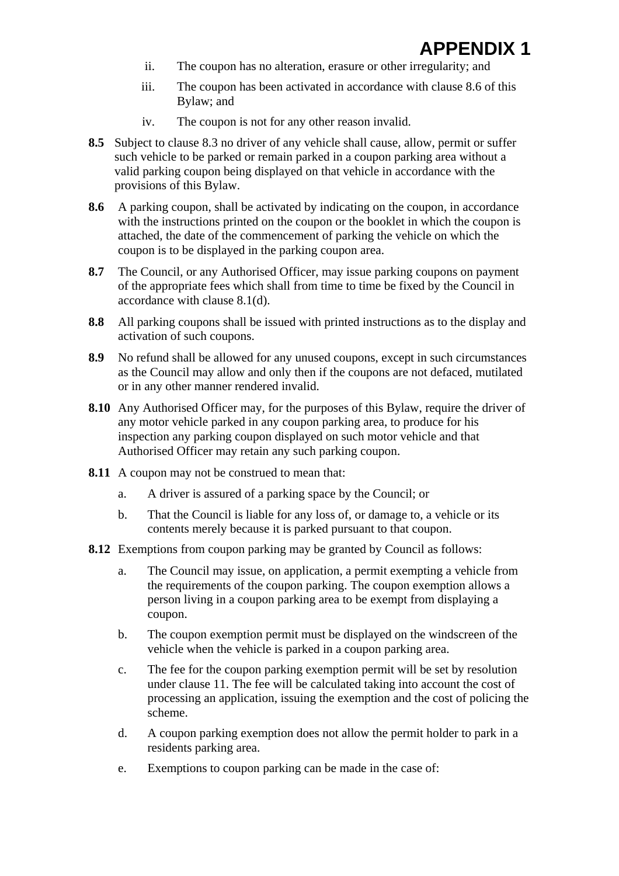- ii. The coupon has no alteration, erasure or other irregularity; and
- iii. The coupon has been activated in accordance with clause 8.6 of this Bylaw; and
- iv. The coupon is not for any other reason invalid.
- **8.5** Subject to clause 8.3 no driver of any vehicle shall cause, allow, permit or suffer such vehicle to be parked or remain parked in a coupon parking area without a valid parking coupon being displayed on that vehicle in accordance with the provisions of this Bylaw.
- **8.6** A parking coupon, shall be activated by indicating on the coupon, in accordance with the instructions printed on the coupon or the booklet in which the coupon is attached, the date of the commencement of parking the vehicle on which the coupon is to be displayed in the parking coupon area.
- **8.7** The Council, or any Authorised Officer, may issue parking coupons on payment of the appropriate fees which shall from time to time be fixed by the Council in accordance with clause 8.1(d).
- **8.8** All parking coupons shall be issued with printed instructions as to the display and activation of such coupons.
- **8.9** No refund shall be allowed for any unused coupons, except in such circumstances as the Council may allow and only then if the coupons are not defaced, mutilated or in any other manner rendered invalid.
- 8.10 Any Authorised Officer may, for the purposes of this Bylaw, require the driver of any motor vehicle parked in any coupon parking area, to produce for his inspection any parking coupon displayed on such motor vehicle and that Authorised Officer may retain any such parking coupon.
- **8.11** A coupon may not be construed to mean that:
	- a. A driver is assured of a parking space by the Council; or
	- b. That the Council is liable for any loss of, or damage to, a vehicle or its contents merely because it is parked pursuant to that coupon.
- **8.12** Exemptions from coupon parking may be granted by Council as follows:
	- a. The Council may issue, on application, a permit exempting a vehicle from the requirements of the coupon parking. The coupon exemption allows a person living in a coupon parking area to be exempt from displaying a coupon.
	- b. The coupon exemption permit must be displayed on the windscreen of the vehicle when the vehicle is parked in a coupon parking area.
	- c. The fee for the coupon parking exemption permit will be set by resolution under clause 11. The fee will be calculated taking into account the cost of processing an application, issuing the exemption and the cost of policing the scheme.
	- d. A coupon parking exemption does not allow the permit holder to park in a residents parking area.
	- e. Exemptions to coupon parking can be made in the case of: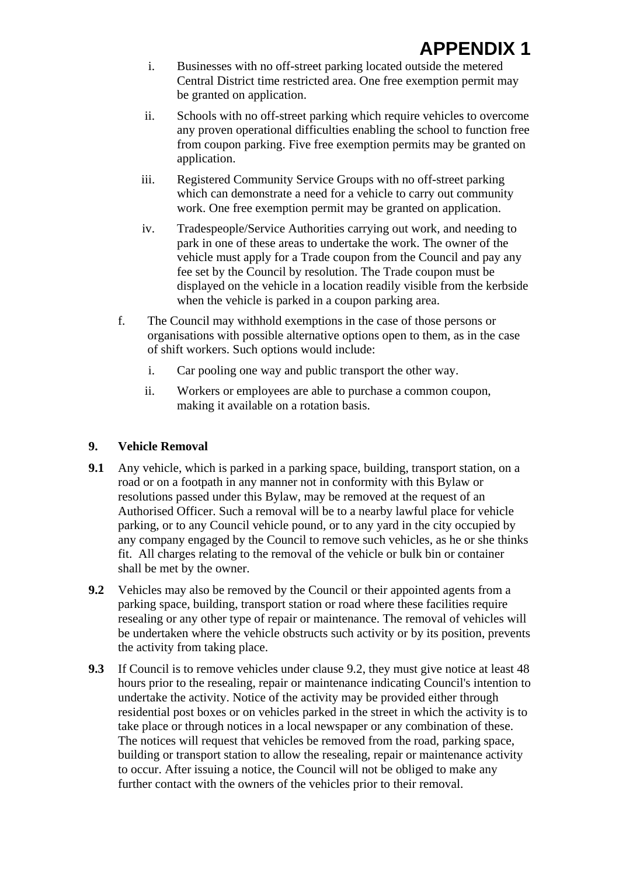- i. Businesses with no off-street parking located outside the metered Central District time restricted area. One free exemption permit may be granted on application.
- ii. Schools with no off-street parking which require vehicles to overcome any proven operational difficulties enabling the school to function free from coupon parking. Five free exemption permits may be granted on application.
- iii. Registered Community Service Groups with no off-street parking which can demonstrate a need for a vehicle to carry out community work. One free exemption permit may be granted on application.
- iv. Tradespeople/Service Authorities carrying out work, and needing to park in one of these areas to undertake the work. The owner of the vehicle must apply for a Trade coupon from the Council and pay any fee set by the Council by resolution. The Trade coupon must be displayed on the vehicle in a location readily visible from the kerbside when the vehicle is parked in a coupon parking area.
- f. The Council may withhold exemptions in the case of those persons or organisations with possible alternative options open to them, as in the case of shift workers. Such options would include:
	- i. Car pooling one way and public transport the other way.
	- ii. Workers or employees are able to purchase a common coupon, making it available on a rotation basis.

### **9. Vehicle Removal**

- **9.1** Any vehicle, which is parked in a parking space, building, transport station, on a road or on a footpath in any manner not in conformity with this Bylaw or resolutions passed under this Bylaw, may be removed at the request of an Authorised Officer. Such a removal will be to a nearby lawful place for vehicle parking, or to any Council vehicle pound, or to any yard in the city occupied by any company engaged by the Council to remove such vehicles, as he or she thinks fit. All charges relating to the removal of the vehicle or bulk bin or container shall be met by the owner.
- **9.2** Vehicles may also be removed by the Council or their appointed agents from a parking space, building, transport station or road where these facilities require resealing or any other type of repair or maintenance. The removal of vehicles will be undertaken where the vehicle obstructs such activity or by its position, prevents the activity from taking place.
- **9.3** If Council is to remove vehicles under clause 9.2, they must give notice at least 48 hours prior to the resealing, repair or maintenance indicating Council's intention to undertake the activity. Notice of the activity may be provided either through residential post boxes or on vehicles parked in the street in which the activity is to take place or through notices in a local newspaper or any combination of these. The notices will request that vehicles be removed from the road, parking space, building or transport station to allow the resealing, repair or maintenance activity to occur. After issuing a notice, the Council will not be obliged to make any further contact with the owners of the vehicles prior to their removal.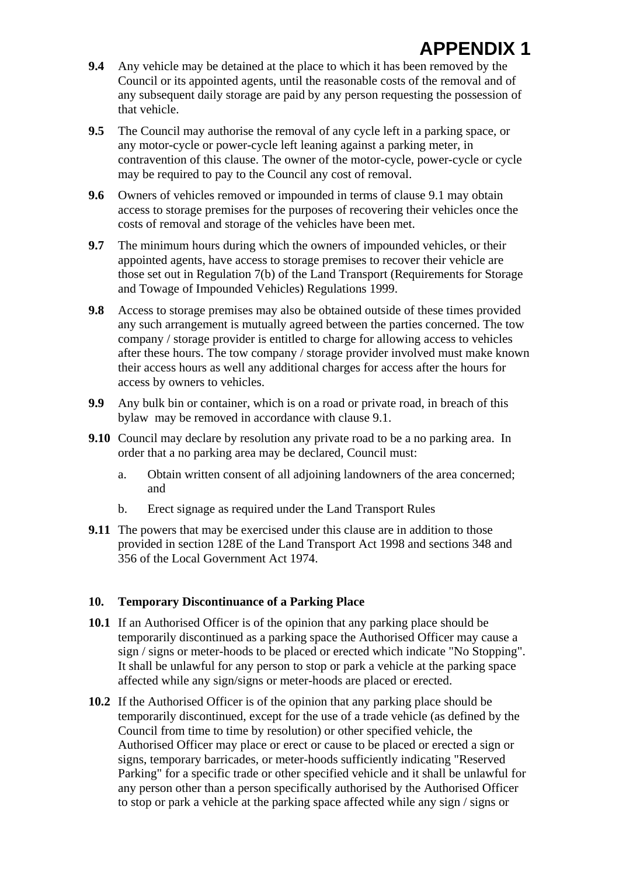- **9.4** Any vehicle may be detained at the place to which it has been removed by the Council or its appointed agents, until the reasonable costs of the removal and of any subsequent daily storage are paid by any person requesting the possession of that vehicle.
- **9.5** The Council may authorise the removal of any cycle left in a parking space, or any motor-cycle or power-cycle left leaning against a parking meter, in contravention of this clause. The owner of the motor-cycle, power-cycle or cycle may be required to pay to the Council any cost of removal.
- **9.6** Owners of vehicles removed or impounded in terms of clause 9.1 may obtain access to storage premises for the purposes of recovering their vehicles once the costs of removal and storage of the vehicles have been met.
- **9.7** The minimum hours during which the owners of impounded vehicles, or their appointed agents, have access to storage premises to recover their vehicle are those set out in Regulation 7(b) of the Land Transport (Requirements for Storage and Towage of Impounded Vehicles) Regulations 1999.
- **9.8** Access to storage premises may also be obtained outside of these times provided any such arrangement is mutually agreed between the parties concerned. The tow company / storage provider is entitled to charge for allowing access to vehicles after these hours. The tow company / storage provider involved must make known their access hours as well any additional charges for access after the hours for access by owners to vehicles.
- **9.9** Any bulk bin or container, which is on a road or private road, in breach of this bylaw may be removed in accordance with clause 9.1.
- **9.10** Council may declare by resolution any private road to be a no parking area. In order that a no parking area may be declared, Council must:
	- a. Obtain written consent of all adjoining landowners of the area concerned; and
	- b. Erect signage as required under the Land Transport Rules
- **9.11** The powers that may be exercised under this clause are in addition to those provided in section 128E of the Land Transport Act 1998 and sections 348 and 356 of the Local Government Act 1974.

#### **10. Temporary Discontinuance of a Parking Place**

- **10.1** If an Authorised Officer is of the opinion that any parking place should be temporarily discontinued as a parking space the Authorised Officer may cause a sign / signs or meter-hoods to be placed or erected which indicate "No Stopping". It shall be unlawful for any person to stop or park a vehicle at the parking space affected while any sign/signs or meter-hoods are placed or erected.
- **10.2** If the Authorised Officer is of the opinion that any parking place should be temporarily discontinued, except for the use of a trade vehicle (as defined by the Council from time to time by resolution) or other specified vehicle, the Authorised Officer may place or erect or cause to be placed or erected a sign or signs, temporary barricades, or meter-hoods sufficiently indicating "Reserved Parking" for a specific trade or other specified vehicle and it shall be unlawful for any person other than a person specifically authorised by the Authorised Officer to stop or park a vehicle at the parking space affected while any sign / signs or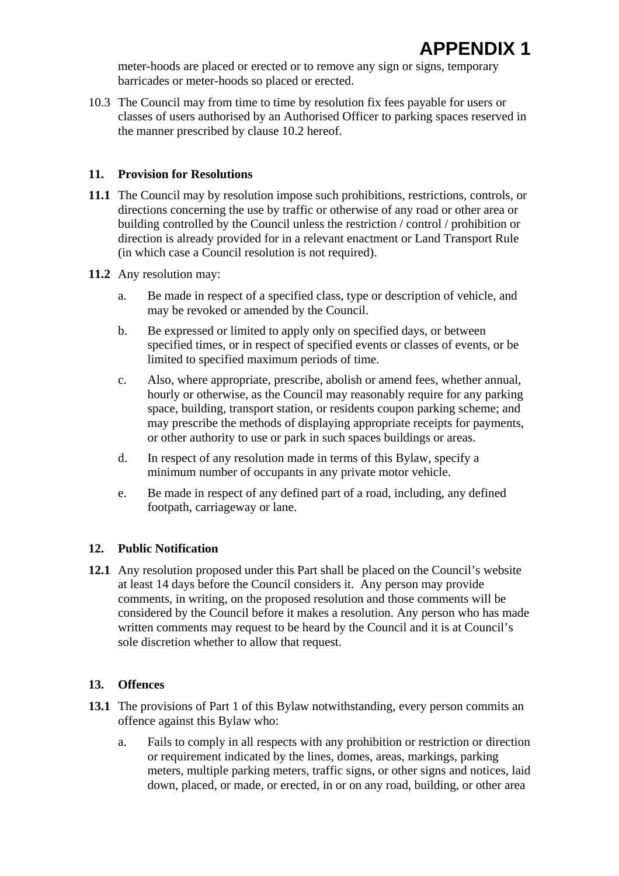meter-hoods are placed or erected or to remove any sign or signs, temporary barricades or meter-hoods so placed or erected.

10.3 The Council may from time to time by resolution fix fees payable for users or classes of users authorised by an Authorised Officer to parking spaces reserved in the manner prescribed by clause 10.2 hereof.

### **11. Provision for Resolutions**

- **11.1** The Council may by resolution impose such prohibitions, restrictions, controls, or directions concerning the use by traffic or otherwise of any road or other area or building controlled by the Council unless the restriction / control / prohibition or direction is already provided for in a relevant enactment or Land Transport Rule (in which case a Council resolution is not required).
- **11.2** Any resolution may:
	- a. Be made in respect of a specified class, type or description of vehicle, and may be revoked or amended by the Council.
	- b. Be expressed or limited to apply only on specified days, or between specified times, or in respect of specified events or classes of events, or be limited to specified maximum periods of time.
	- c. Also, where appropriate, prescribe, abolish or amend fees, whether annual, hourly or otherwise, as the Council may reasonably require for any parking space, building, transport station, or residents coupon parking scheme; and may prescribe the methods of displaying appropriate receipts for payments, or other authority to use or park in such spaces buildings or areas.
	- d. In respect of any resolution made in terms of this Bylaw, specify a minimum number of occupants in any private motor vehicle.
	- e. Be made in respect of any defined part of a road, including, any defined footpath, carriageway or lane.

### **12. Public Notification**

**12.1** Any resolution proposed under this Part shall be placed on the Council's website at least 14 days before the Council considers it. Any person may provide comments, in writing, on the proposed resolution and those comments will be considered by the Council before it makes a resolution. Any person who has made written comments may request to be heard by the Council and it is at Council's sole discretion whether to allow that request.

### **13. Offences**

- **13.1** The provisions of Part 1 of this Bylaw notwithstanding, every person commits an offence against this Bylaw who:
	- a. Fails to comply in all respects with any prohibition or restriction or direction or requirement indicated by the lines, domes, areas, markings, parking meters, multiple parking meters, traffic signs, or other signs and notices, laid down, placed, or made, or erected, in or on any road, building, or other area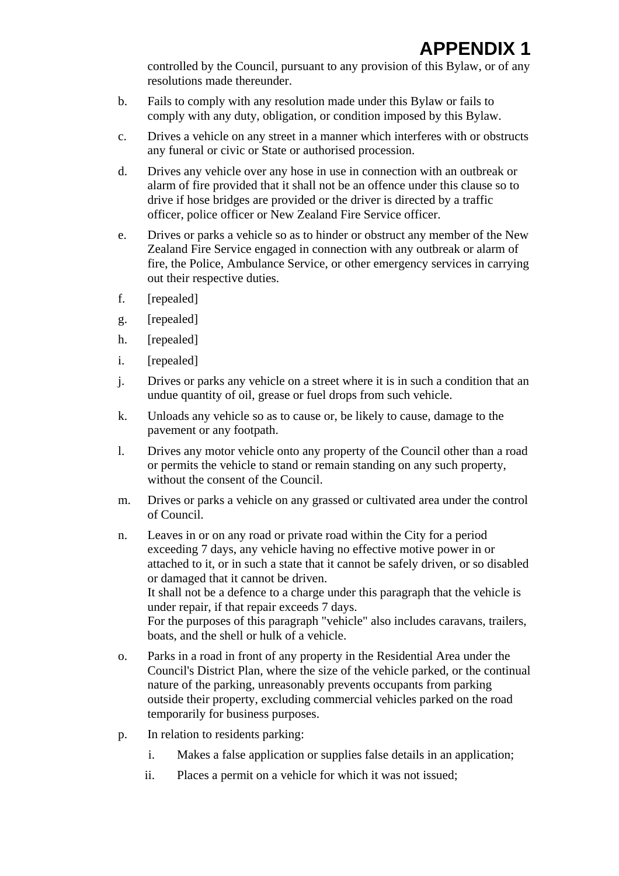controlled by the Council, pursuant to any provision of this Bylaw, or of any resolutions made thereunder.

- b. Fails to comply with any resolution made under this Bylaw or fails to comply with any duty, obligation, or condition imposed by this Bylaw.
- c. Drives a vehicle on any street in a manner which interferes with or obstructs any funeral or civic or State or authorised procession.
- d. Drives any vehicle over any hose in use in connection with an outbreak or alarm of fire provided that it shall not be an offence under this clause so to drive if hose bridges are provided or the driver is directed by a traffic officer, police officer or New Zealand Fire Service officer.
- e. Drives or parks a vehicle so as to hinder or obstruct any member of the New Zealand Fire Service engaged in connection with any outbreak or alarm of fire, the Police, Ambulance Service, or other emergency services in carrying out their respective duties.
- f. [repealed]
- g. [repealed]
- h. [repealed]
- i. [repealed]
- j. Drives or parks any vehicle on a street where it is in such a condition that an undue quantity of oil, grease or fuel drops from such vehicle.
- k. Unloads any vehicle so as to cause or, be likely to cause, damage to the pavement or any footpath.
- l. Drives any motor vehicle onto any property of the Council other than a road or permits the vehicle to stand or remain standing on any such property, without the consent of the Council.
- m. Drives or parks a vehicle on any grassed or cultivated area under the control of Council.
- n. Leaves in or on any road or private road within the City for a period exceeding 7 days, any vehicle having no effective motive power in or attached to it, or in such a state that it cannot be safely driven, or so disabled or damaged that it cannot be driven. It shall not be a defence to a charge under this paragraph that the vehicle is under repair, if that repair exceeds 7 days. For the purposes of this paragraph "vehicle" also includes caravans, trailers, boats, and the shell or hulk of a vehicle.
- o. Parks in a road in front of any property in the Residential Area under the Council's District Plan, where the size of the vehicle parked, or the continual nature of the parking, unreasonably prevents occupants from parking outside their property, excluding commercial vehicles parked on the road temporarily for business purposes.
- p. In relation to residents parking:
	- i. Makes a false application or supplies false details in an application;
	- ii. Places a permit on a vehicle for which it was not issued;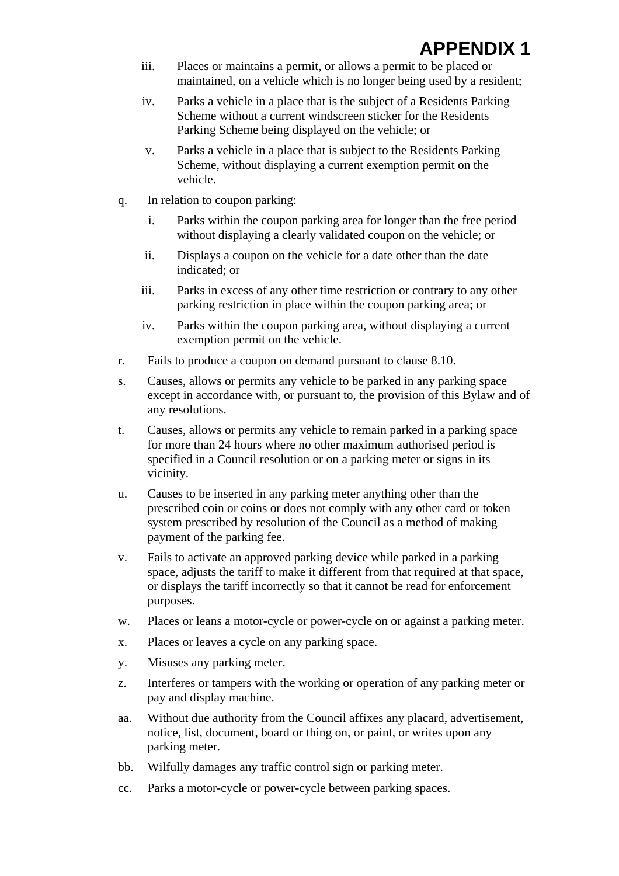# **APPENDIX 1**

- iii. Places or maintains a permit, or allows a permit to be placed or maintained, on a vehicle which is no longer being used by a resident;
- iv. Parks a vehicle in a place that is the subject of a Residents Parking Scheme without a current windscreen sticker for the Residents Parking Scheme being displayed on the vehicle; or
- v. Parks a vehicle in a place that is subject to the Residents Parking Scheme, without displaying a current exemption permit on the vehicle.
- q. In relation to coupon parking:
	- i. Parks within the coupon parking area for longer than the free period without displaying a clearly validated coupon on the vehicle; or
	- ii. Displays a coupon on the vehicle for a date other than the date indicated; or
	- iii. Parks in excess of any other time restriction or contrary to any other parking restriction in place within the coupon parking area; or
	- iv. Parks within the coupon parking area, without displaying a current exemption permit on the vehicle.
- r. Fails to produce a coupon on demand pursuant to clause 8.10.
- s. Causes, allows or permits any vehicle to be parked in any parking space except in accordance with, or pursuant to, the provision of this Bylaw and of any resolutions.
- t. Causes, allows or permits any vehicle to remain parked in a parking space for more than 24 hours where no other maximum authorised period is specified in a Council resolution or on a parking meter or signs in its vicinity.
- u. Causes to be inserted in any parking meter anything other than the prescribed coin or coins or does not comply with any other card or token system prescribed by resolution of the Council as a method of making payment of the parking fee.
- v. Fails to activate an approved parking device while parked in a parking space, adjusts the tariff to make it different from that required at that space, or displays the tariff incorrectly so that it cannot be read for enforcement purposes.
- w. Places or leans a motor-cycle or power-cycle on or against a parking meter.
- x. Places or leaves a cycle on any parking space.
- y. Misuses any parking meter.
- z. Interferes or tampers with the working or operation of any parking meter or pay and display machine.
- aa. Without due authority from the Council affixes any placard, advertisement, notice, list, document, board or thing on, or paint, or writes upon any parking meter.
- bb. Wilfully damages any traffic control sign or parking meter.
- cc. Parks a motor-cycle or power-cycle between parking spaces.